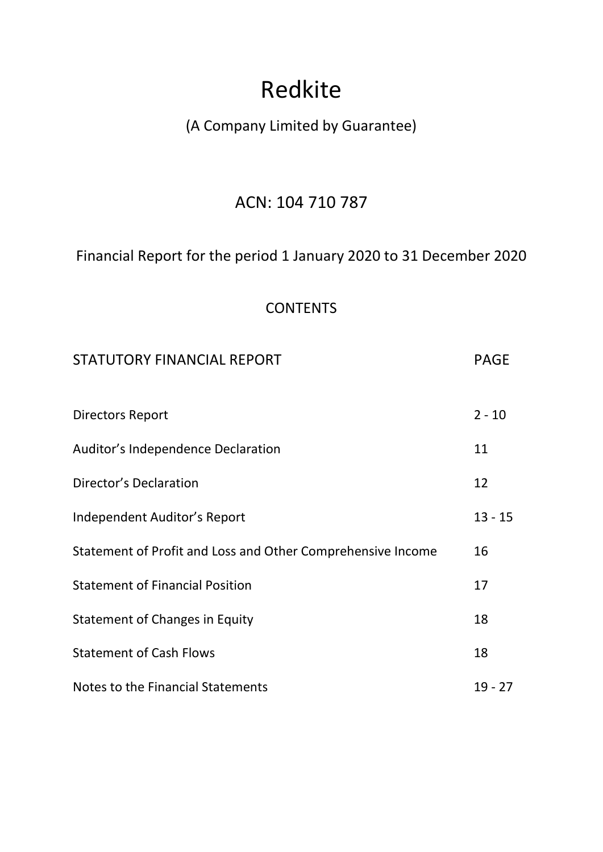# Redkite

# (A Company Limited by Guarantee)

# ACN: 104 710 787

# Financial Report for the period 1 January 2020 to 31 December 2020

# **CONTENTS**

| <b>STATUTORY FINANCIAL REPORT</b>                           | PAGE      |
|-------------------------------------------------------------|-----------|
| <b>Directors Report</b>                                     | $2 - 10$  |
| Auditor's Independence Declaration                          | 11        |
| Director's Declaration                                      | 12        |
| Independent Auditor's Report                                | $13 - 15$ |
| Statement of Profit and Loss and Other Comprehensive Income | 16        |
| <b>Statement of Financial Position</b>                      | 17        |
| Statement of Changes in Equity                              | 18        |
| <b>Statement of Cash Flows</b>                              | 18        |
| Notes to the Financial Statements                           | $19 - 27$ |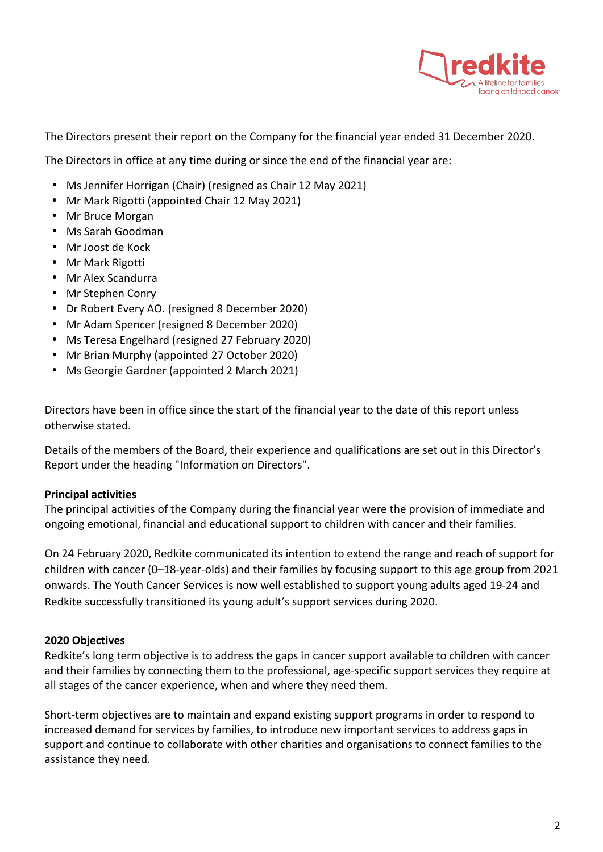

The Directors present their report on the Company for the financial year ended 31 December 2020.

The Directors in office at any time during or since the end of the financial year are:

- Ms Jennifer Horrigan (Chair) (resigned as Chair 12 May 2021)
- Mr Mark Rigotti (appointed Chair 12 May 2021)
- Mr Bruce Morgan
- Ms Sarah Goodman
- Mr Joost de Kock
- Mr Mark Rigotti
- Mr Alex Scandurra
- Mr Stephen Conry
- Dr Robert Every AO. (resigned 8 December 2020)
- Mr Adam Spencer (resigned 8 December 2020)
- Ms Teresa Engelhard (resigned 27 February 2020)
- Mr Brian Murphy (appointed 27 October 2020)
- Ms Georgie Gardner (appointed 2 March 2021)

Directors have been in office since the start of the financial year to the date of this report unless otherwise stated.

Details of the members of the Board, their experience and qualifications are set out in this Director's Report under the heading "Information on Directors".

### **Principal activities**

The principal activities of the Company during the financial year were the provision of immediate and ongoing emotional, financial and educational support to children with cancer and their families.

On 24 February 2020, Redkite communicated its intention to extend the range and reach of support for children with cancer (0-18-year-olds) and their families by focusing support to this age group from 2021 onwards. The Youth Cancer Services is now well established to support young adults aged 19-24 and Redkite successfully transitioned its young adult's support services during 2020.

### **2020 Objectives**

Redkite's long term objective is to address the gaps in cancer support available to children with cancer and their families by connecting them to the professional, age-specific support services they require at all stages of the cancer experience, when and where they need them.

Short-term objectives are to maintain and expand existing support programs in order to respond to increased demand for services by families, to introduce new important services to address gaps in support and continue to collaborate with other charities and organisations to connect families to the assistance they need.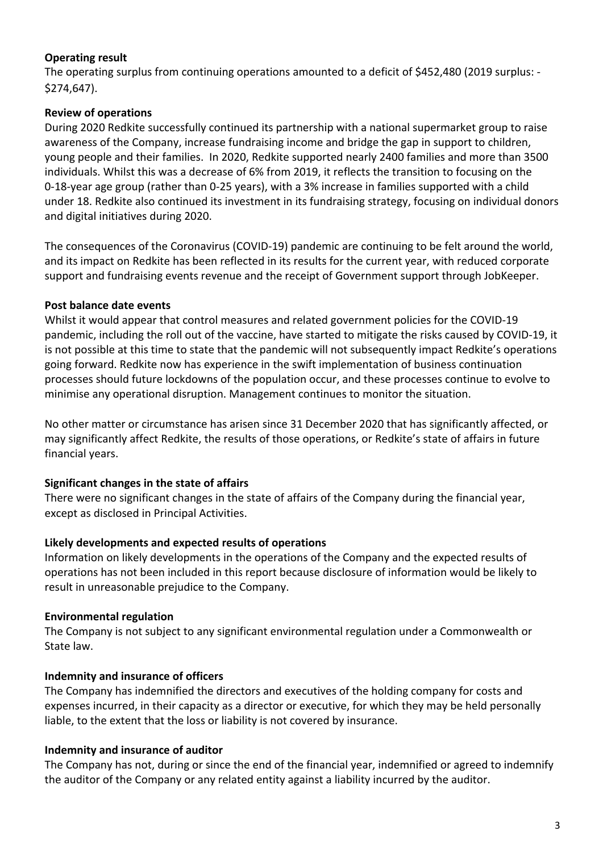# **Operating result**

The operating surplus from continuing operations amounted to a deficit of \$452,480 (2019 surplus: -\$274,647).

# **Review of operations**

During 2020 Redkite successfully continued its partnership with a national supermarket group to raise awareness of the Company, increase fundraising income and bridge the gap in support to children, young people and their families. In 2020, Redkite supported nearly 2400 families and more than 3500 individuals. Whilst this was a decrease of 6% from 2019, it reflects the transition to focusing on the 0-18-year age group (rather than 0-25 years), with a 3% increase in families supported with a child under 18. Redkite also continued its investment in its fundraising strategy, focusing on individual donors and digital initiatives during 2020.

The consequences of the Coronavirus (COVID-19) pandemic are continuing to be felt around the world, and its impact on Redkite has been reflected in its results for the current year, with reduced corporate support and fundraising events revenue and the receipt of Government support through JobKeeper.

# **Post balance date events**

Whilst it would appear that control measures and related government policies for the COVID-19 pandemic, including the roll out of the vaccine, have started to mitigate the risks caused by COVID-19, it is not possible at this time to state that the pandemic will not subsequently impact Redkite's operations going forward. Redkite now has experience in the swift implementation of business continuation processes should future lockdowns of the population occur, and these processes continue to evolve to minimise any operational disruption. Management continues to monitor the situation.

No other matter or circumstance has arisen since 31 December 2020 that has significantly affected, or may significantly affect Redkite, the results of those operations, or Redkite's state of affairs in future financial years.

# **Significant changes in the state of affairs**

There were no significant changes in the state of affairs of the Company during the financial year, except as disclosed in Principal Activities.

# Likely developments and expected results of operations

Information on likely developments in the operations of the Company and the expected results of operations has not been included in this report because disclosure of information would be likely to result in unreasonable prejudice to the Company.

# **Environmental regulation**

The Company is not subject to any significant environmental regulation under a Commonwealth or State law.

# **Indemnity and insurance of officers**

The Company has indemnified the directors and executives of the holding company for costs and expenses incurred, in their capacity as a director or executive, for which they may be held personally liable, to the extent that the loss or liability is not covered by insurance.

# **Indemnity and insurance of auditor**

The Company has not, during or since the end of the financial year, indemnified or agreed to indemnify the auditor of the Company or any related entity against a liability incurred by the auditor.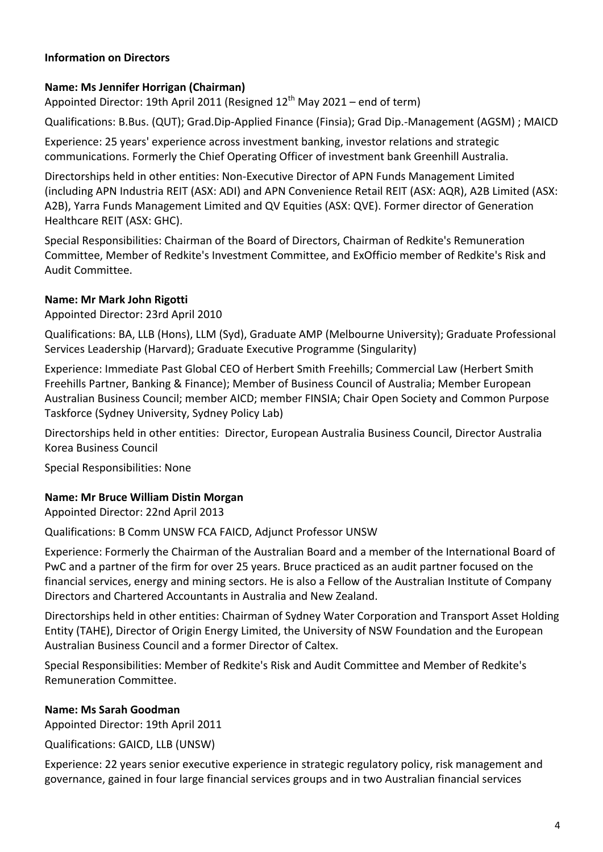# **Information on Directors**

# **Name: Ms Jennifer Horrigan (Chairman)**

Appointed Director: 19th April 2011 (Resigned  $12<sup>th</sup>$  May 2021 – end of term)

Qualifications: B.Bus. (QUT); Grad.Dip-Applied Finance (Finsia); Grad Dip.-Management (AGSM) ; MAICD

Experience: 25 years' experience across investment banking, investor relations and strategic communications. Formerly the Chief Operating Officer of investment bank Greenhill Australia.

Directorships held in other entities: Non-Executive Director of APN Funds Management Limited (including APN Industria REIT (ASX: ADI) and APN Convenience Retail REIT (ASX: AQR), A2B Limited (ASX: A2B), Yarra Funds Management Limited and QV Equities (ASX: QVE). Former director of Generation Healthcare REIT (ASX: GHC).

Special Responsibilities: Chairman of the Board of Directors, Chairman of Redkite's Remuneration Committee, Member of Redkite's Investment Committee, and ExOfficio member of Redkite's Risk and Audit Committee.

# **Name: Mr Mark John Rigotti**

Appointed Director: 23rd April 2010

Qualifications: BA, LLB (Hons), LLM (Syd), Graduate AMP (Melbourne University); Graduate Professional Services Leadership (Harvard); Graduate Executive Programme (Singularity)

Experience: Immediate Past Global CEO of Herbert Smith Freehills; Commercial Law (Herbert Smith Freehills Partner, Banking & Finance); Member of Business Council of Australia; Member European Australian Business Council; member AICD; member FINSIA; Chair Open Society and Common Purpose Taskforce (Sydney University, Sydney Policy Lab)

Directorships held in other entities: Director, European Australia Business Council, Director Australia Korea Business Council

Special Responsibilities: None

# **Name: Mr Bruce William Distin Morgan**

Appointed Director: 22nd April 2013

Qualifications: B Comm UNSW FCA FAICD, Adjunct Professor UNSW

Experience: Formerly the Chairman of the Australian Board and a member of the International Board of PwC and a partner of the firm for over 25 years. Bruce practiced as an audit partner focused on the financial services, energy and mining sectors. He is also a Fellow of the Australian Institute of Company Directors and Chartered Accountants in Australia and New Zealand.

Directorships held in other entities: Chairman of Sydney Water Corporation and Transport Asset Holding Entity (TAHE), Director of Origin Energy Limited, the University of NSW Foundation and the European Australian Business Council and a former Director of Caltex.

Special Responsibilities: Member of Redkite's Risk and Audit Committee and Member of Redkite's Remuneration Committee.

# **Name: Ms Sarah Goodman**

Appointed Director: 19th April 2011

Qualifications: GAICD, LLB (UNSW)

Experience: 22 years senior executive experience in strategic regulatory policy, risk management and governance, gained in four large financial services groups and in two Australian financial services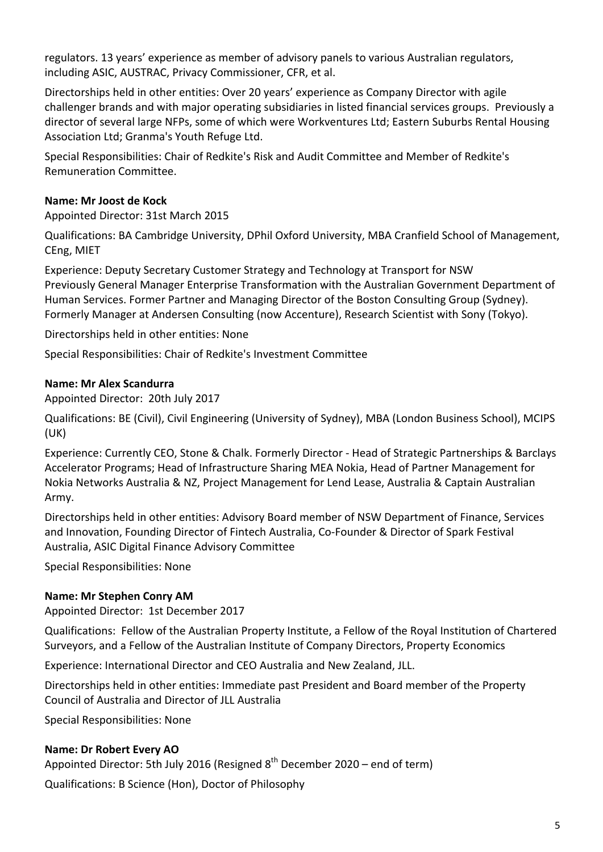regulators. 13 years' experience as member of advisory panels to various Australian regulators, including ASIC, AUSTRAC, Privacy Commissioner, CFR, et al.

Directorships held in other entities: Over 20 years' experience as Company Director with agile challenger brands and with major operating subsidiaries in listed financial services groups. Previously a director of several large NFPs, some of which were Workventures Ltd; Eastern Suburbs Rental Housing Association Ltd; Granma's Youth Refuge Ltd.

Special Responsibilities: Chair of Redkite's Risk and Audit Committee and Member of Redkite's Remuneration Committee.

# **Name: Mr Joost de Kock**

Appointed Director: 31st March 2015

Qualifications: BA Cambridge University, DPhil Oxford University, MBA Cranfield School of Management, CEng, MIET

Experience: Deputy Secretary Customer Strategy and Technology at Transport for NSW Previously General Manager Enterprise Transformation with the Australian Government Department of Human Services. Former Partner and Managing Director of the Boston Consulting Group (Sydney). Formerly Manager at Andersen Consulting (now Accenture), Research Scientist with Sony (Tokyo).

Directorships held in other entities: None

Special Responsibilities: Chair of Redkite's Investment Committee

### **Name: Mr Alex Scandurra**

Appointed Director: 20th July 2017

Qualifications: BE (Civil), Civil Engineering (University of Sydney), MBA (London Business School), MCIPS (UK)

Experience: Currently CEO, Stone & Chalk. Formerly Director - Head of Strategic Partnerships & Barclays Accelerator Programs; Head of Infrastructure Sharing MEA Nokia, Head of Partner Management for Nokia Networks Australia & NZ, Project Management for Lend Lease, Australia & Captain Australian Army.

Directorships held in other entities: Advisory Board member of NSW Department of Finance, Services and Innovation, Founding Director of Fintech Australia, Co-Founder & Director of Spark Festival Australia, ASIC Digital Finance Advisory Committee

Special Responsibilities: None

# **Name: Mr Stephen Conry AM**

Appointed Director: 1st December 2017

Qualifications: Fellow of the Australian Property Institute, a Fellow of the Royal Institution of Chartered Surveyors, and a Fellow of the Australian Institute of Company Directors, Property Economics

Experience: International Director and CEO Australia and New Zealand, JLL.

Directorships held in other entities: Immediate past President and Board member of the Property Council of Australia and Director of JLL Australia

Special Responsibilities: None

# **Name: Dr Robert Every AO**

Appointed Director: 5th July 2016 (Resigned  $8^{th}$  December 2020 – end of term)

Qualifications: B Science (Hon), Doctor of Philosophy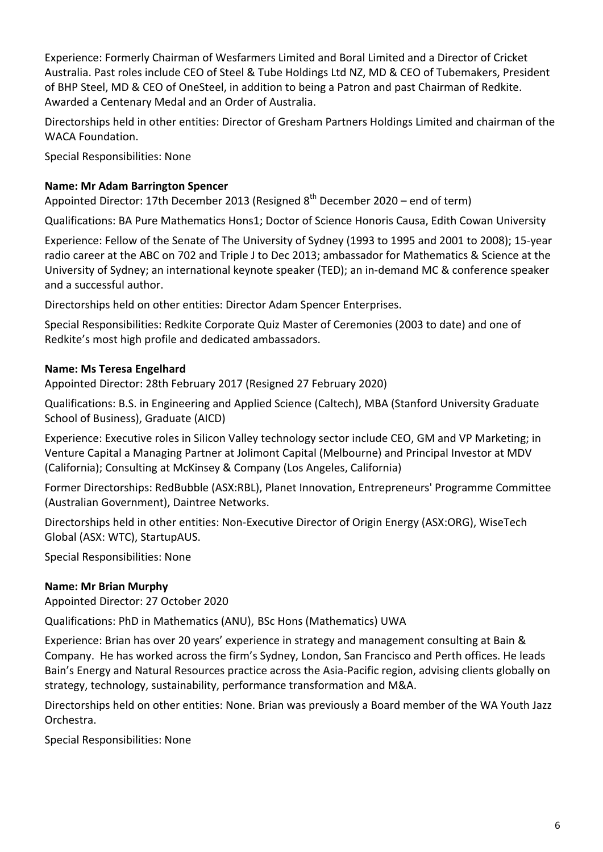Experience: Formerly Chairman of Wesfarmers Limited and Boral Limited and a Director of Cricket Australia. Past roles include CEO of Steel & Tube Holdings Ltd NZ, MD & CEO of Tubemakers, President of BHP Steel, MD & CEO of OneSteel, in addition to being a Patron and past Chairman of Redkite. Awarded a Centenary Medal and an Order of Australia.

Directorships held in other entities: Director of Gresham Partners Holdings Limited and chairman of the WACA Foundation.

Special Responsibilities: None

# **Name: Mr Adam Barrington Spencer**

Appointed Director: 17th December 2013 (Resigned  $8<sup>th</sup>$  December 2020 – end of term)

Qualifications: BA Pure Mathematics Hons1; Doctor of Science Honoris Causa, Edith Cowan University

Experience: Fellow of the Senate of The University of Sydney (1993 to 1995 and 2001 to 2008); 15-year radio career at the ABC on 702 and Triple J to Dec 2013; ambassador for Mathematics & Science at the University of Sydney; an international keynote speaker (TED); an in-demand MC & conference speaker and a successful author.

Directorships held on other entities: Director Adam Spencer Enterprises.

Special Responsibilities: Redkite Corporate Quiz Master of Ceremonies (2003 to date) and one of Redkite's most high profile and dedicated ambassadors.

# **Name: Ms Teresa Engelhard**

Appointed Director: 28th February 2017 (Resigned 27 February 2020)

Qualifications: B.S. in Engineering and Applied Science (Caltech), MBA (Stanford University Graduate School of Business), Graduate (AICD)

Experience: Executive roles in Silicon Valley technology sector include CEO, GM and VP Marketing; in Venture Capital a Managing Partner at Jolimont Capital (Melbourne) and Principal Investor at MDV (California); Consulting at McKinsey & Company (Los Angeles, California)

Former Directorships: RedBubble (ASX:RBL), Planet Innovation, Entrepreneurs' Programme Committee (Australian Government), Daintree Networks.

Directorships held in other entities: Non-Executive Director of Origin Energy (ASX:ORG), WiseTech Global (ASX: WTC), StartupAUS.

Special Responsibilities: None

# **Name: Mr Brian Murphy**

Appointed Director: 27 October 2020

Qualifications: PhD in Mathematics (ANU), BSc Hons (Mathematics) UWA

Experience: Brian has over 20 years' experience in strategy and management consulting at Bain & Company. He has worked across the firm's Sydney, London, San Francisco and Perth offices. He leads Bain's Energy and Natural Resources practice across the Asia-Pacific region, advising clients globally on strategy, technology, sustainability, performance transformation and M&A.

Directorships held on other entities: None. Brian was previously a Board member of the WA Youth Jazz Orchestra.

Special Responsibilities: None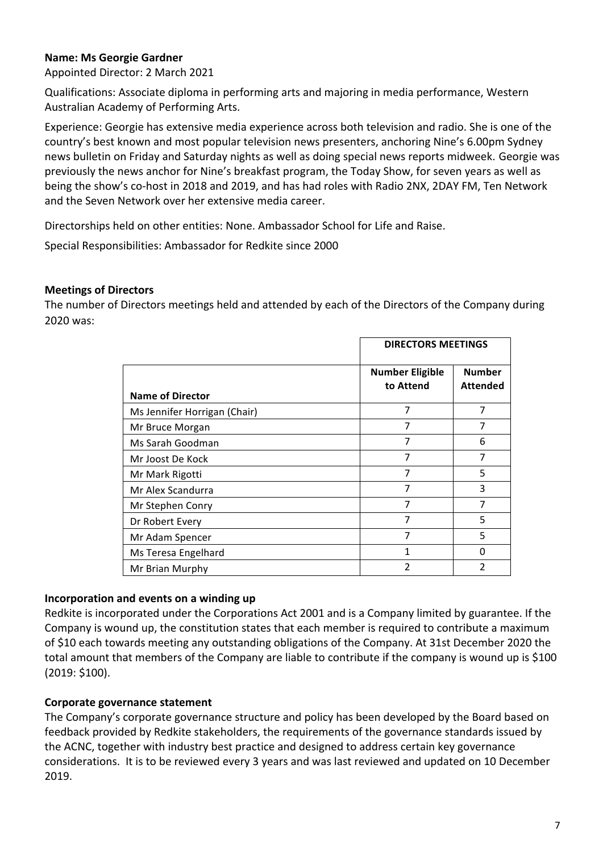# **Name: Ms Georgie Gardner**

Appointed Director: 2 March 2021

Qualifications: Associate diploma in performing arts and majoring in media performance, Western Australian Academy of Performing Arts.

Experience: Georgie has extensive media experience across both television and radio. She is one of the country's best known and most popular television news presenters, anchoring Nine's 6.00pm Sydney news bulletin on Friday and Saturday nights as well as doing special news reports midweek. Georgie was previously the news anchor for Nine's breakfast program, the Today Show, for seven years as well as being the show's co-host in 2018 and 2019, and has had roles with Radio 2NX, 2DAY FM, Ten Network and the Seven Network over her extensive media career.

Directorships held on other entities: None. Ambassador School for Life and Raise.

Special Responsibilities: Ambassador for Redkite since 2000

# **Meetings of Directors**

The number of Directors meetings held and attended by each of the Directors of the Company during 2020 was:

|                              |                                     | <b>DIRECTORS MEETINGS</b>        |  |
|------------------------------|-------------------------------------|----------------------------------|--|
| <b>Name of Director</b>      | <b>Number Eligible</b><br>to Attend | <b>Number</b><br><b>Attended</b> |  |
| Ms Jennifer Horrigan (Chair) | 7                                   | 7                                |  |
| Mr Bruce Morgan              | 7                                   | 7                                |  |
| Ms Sarah Goodman             | 7                                   | 6                                |  |
| Mr Joost De Kock             | 7                                   | 7                                |  |
| Mr Mark Rigotti              | 7                                   | 5                                |  |
| Mr Alex Scandurra            | 7                                   | 3                                |  |
| Mr Stephen Conry             | 7                                   | 7                                |  |
| Dr Robert Every              | 7                                   | 5                                |  |
| Mr Adam Spencer              | 7                                   | 5                                |  |
| Ms Teresa Engelhard          | 1                                   | ŋ                                |  |
| Mr Brian Murphy              | 2                                   | 2                                |  |

### **Incorporation and events on a winding up**

Redkite is incorporated under the Corporations Act 2001 and is a Company limited by guarantee. If the Company is wound up, the constitution states that each member is required to contribute a maximum of \$10 each towards meeting any outstanding obligations of the Company. At 31st December 2020 the total amount that members of the Company are liable to contribute if the company is wound up is \$100  $(2019: $100)$ .

# **Corporate governance statement**

The Company's corporate governance structure and policy has been developed by the Board based on feedback provided by Redkite stakeholders, the requirements of the governance standards issued by the ACNC, together with industry best practice and designed to address certain key governance considerations. It is to be reviewed every 3 years and was last reviewed and updated on 10 December 2019.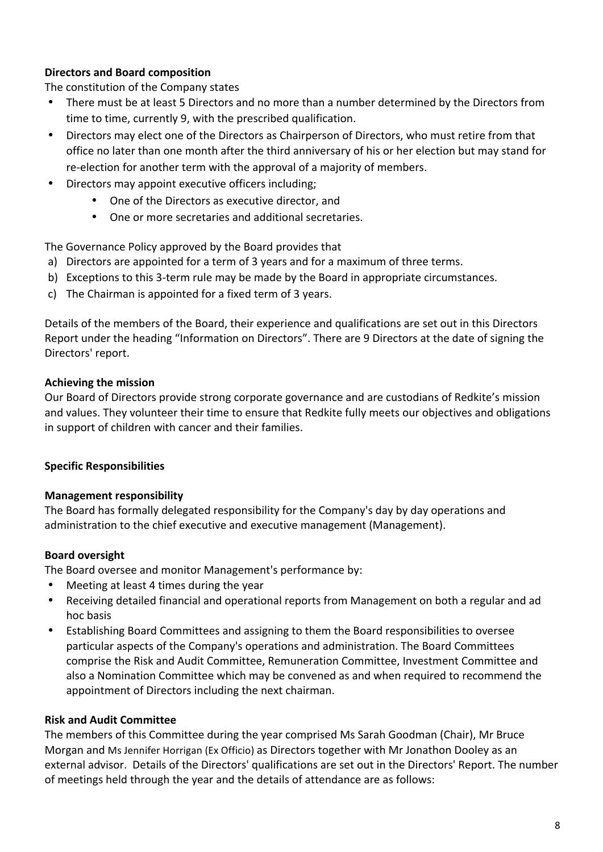# **Directors and Board composition**

The constitution of the Company states

- There must be at least 5 Directors and no more than a number determined by the Directors from time to time, currently 9, with the prescribed qualification.
- Directors may elect one of the Directors as Chairperson of Directors, who must retire from that office no later than one month after the third anniversary of his or her election but may stand for re-election for another term with the approval of a majority of members.
- Directors may appoint executive officers including:
	- One of the Directors as executive director, and
	- One or more secretaries and additional secretaries.

The Governance Policy approved by the Board provides that

- a) Directors are appointed for a term of 3 years and for a maximum of three terms.
- b) Exceptions to this 3-term rule may be made by the Board in appropriate circumstances.
- c) The Chairman is appointed for a fixed term of  $3$  years.

Details of the members of the Board, their experience and qualifications are set out in this Directors Report under the heading "Information on Directors". There are 9 Directors at the date of signing the Directors' report.

# **Achieving the mission**

Our Board of Directors provide strong corporate governance and are custodians of Redkite's mission and values. They volunteer their time to ensure that Redkite fully meets our objectives and obligations in support of children with cancer and their families.

# **Specific Responsibilities**

# **Management responsibility**

The Board has formally delegated responsibility for the Company's day by day operations and administration to the chief executive and executive management (Management).

# **Board oversight**

The Board oversee and monitor Management's performance by:

- Meeting at least 4 times during the year
- Receiving detailed financial and operational reports from Management on both a regular and ad hoc basis
- Establishing Board Committees and assigning to them the Board responsibilities to oversee particular aspects of the Company's operations and administration. The Board Committees comprise the Risk and Audit Committee, Remuneration Committee, Investment Committee and also a Nomination Committee which may be convened as and when required to recommend the appointment of Directors including the next chairman.

# **Risk and Audit Committee**

The members of this Committee during the year comprised Ms Sarah Goodman (Chair), Mr Bruce Morgan and Ms Jennifer Horrigan (Ex Officio) as Directors together with Mr Jonathon Dooley as an external advisor. Details of the Directors' qualifications are set out in the Directors' Report. The number of meetings held through the year and the details of attendance are as follows: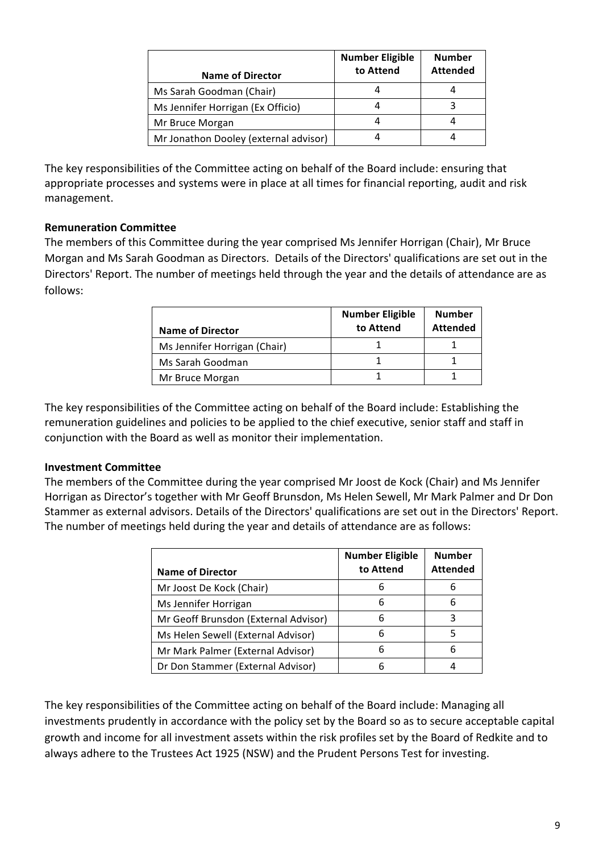| <b>Name of Director</b>               | <b>Number Eligible</b><br>to Attend | <b>Number</b><br><b>Attended</b> |
|---------------------------------------|-------------------------------------|----------------------------------|
| Ms Sarah Goodman (Chair)              |                                     |                                  |
| Ms Jennifer Horrigan (Ex Officio)     |                                     | ર                                |
| Mr Bruce Morgan                       |                                     |                                  |
| Mr Jonathon Dooley (external advisor) |                                     |                                  |

The key responsibilities of the Committee acting on behalf of the Board include: ensuring that appropriate processes and systems were in place at all times for financial reporting, audit and risk management.

# **Remuneration Committee**

The members of this Committee during the year comprised Ms Jennifer Horrigan (Chair), Mr Bruce Morgan and Ms Sarah Goodman as Directors. Details of the Directors' qualifications are set out in the Directors' Report. The number of meetings held through the year and the details of attendance are as follows:

| <b>Name of Director</b>      | <b>Number Eligible</b><br>to Attend | <b>Number</b><br><b>Attended</b> |
|------------------------------|-------------------------------------|----------------------------------|
| Ms Jennifer Horrigan (Chair) |                                     |                                  |
| Ms Sarah Goodman             |                                     |                                  |
| Mr Bruce Morgan              |                                     |                                  |

The key responsibilities of the Committee acting on behalf of the Board include: Establishing the remuneration guidelines and policies to be applied to the chief executive, senior staff and staff in conjunction with the Board as well as monitor their implementation.

# **Investment Committee**

The members of the Committee during the year comprised Mr Joost de Kock (Chair) and Ms Jennifer Horrigan as Director's together with Mr Geoff Brunsdon, Ms Helen Sewell, Mr Mark Palmer and Dr Don Stammer as external advisors. Details of the Directors' qualifications are set out in the Directors' Report. The number of meetings held during the year and details of attendance are as follows:

| <b>Name of Director</b>              | <b>Number Eligible</b><br>to Attend | <b>Number</b><br><b>Attended</b> |
|--------------------------------------|-------------------------------------|----------------------------------|
| Mr Joost De Kock (Chair)             | 6                                   | 6                                |
| Ms Jennifer Horrigan                 | 6                                   | 6                                |
| Mr Geoff Brunsdon (External Advisor) | 6                                   | ς                                |
| Ms Helen Sewell (External Advisor)   | 6                                   | 5                                |
| Mr Mark Palmer (External Advisor)    | 6                                   | 6                                |
| Dr Don Stammer (External Advisor)    | 6                                   |                                  |

The key responsibilities of the Committee acting on behalf of the Board include: Managing all investments prudently in accordance with the policy set by the Board so as to secure acceptable capital growth and income for all investment assets within the risk profiles set by the Board of Redkite and to always adhere to the Trustees Act 1925 (NSW) and the Prudent Persons Test for investing.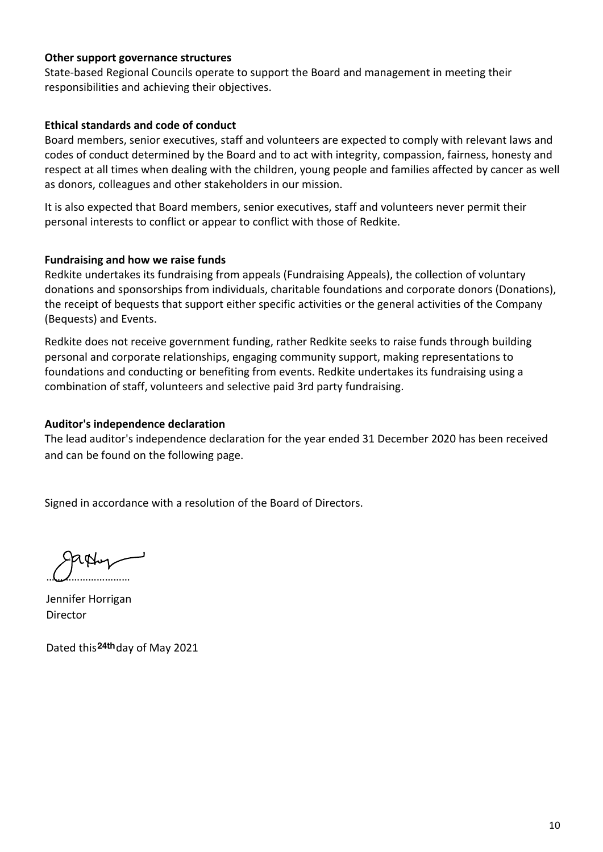### **Other support governance structures**

State-based Regional Councils operate to support the Board and management in meeting their responsibilities and achieving their objectives.

### **Ethical standards and code of conduct**

Board members, senior executives, staff and volunteers are expected to comply with relevant laws and codes of conduct determined by the Board and to act with integrity, compassion, fairness, honesty and respect at all times when dealing with the children, young people and families affected by cancer as well as donors, colleagues and other stakeholders in our mission.

It is also expected that Board members, senior executives, staff and volunteers never permit their personal interests to conflict or appear to conflict with those of Redkite.

# **Fundraising and how we raise funds**

Redkite undertakes its fundraising from appeals (Fundraising Appeals), the collection of voluntary donations and sponsorships from individuals, charitable foundations and corporate donors (Donations), the receipt of bequests that support either specific activities or the general activities of the Company (Bequests) and Events.

Redkite does not receive government funding, rather Redkite seeks to raise funds through building personal and corporate relationships, engaging community support, making representations to foundations and conducting or benefiting from events. Redkite undertakes its fundraising using a combination of staff, volunteers and selective paid 3rd party fundraising.

# **Auditor's independence declaration**

The lead auditor's independence declaration for the year ended 31 December 2020 has been received and can be found on the following page.

Signed in accordance with a resolution of the Board of Directors.

…………………………

Jennifer Horrigan **Director** 

Dated this<sup>24th</sup>day of May 2021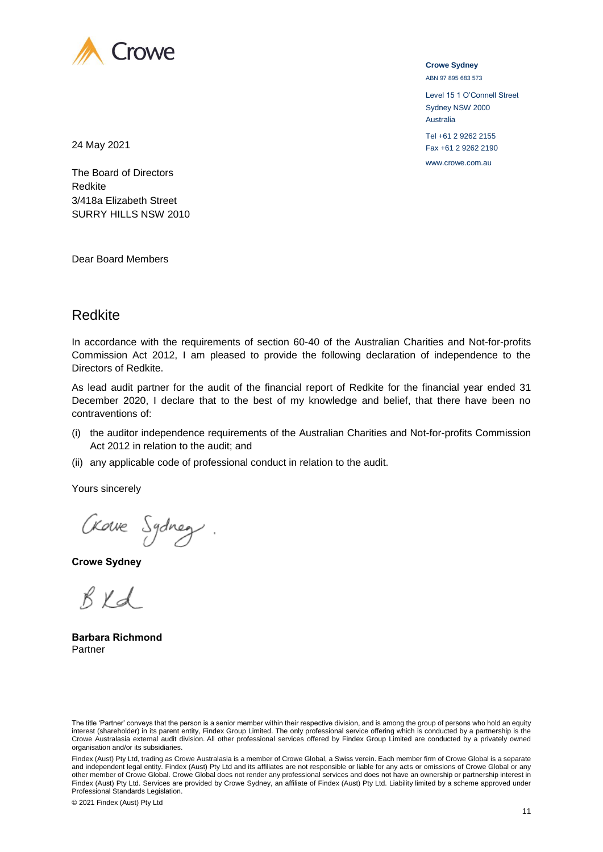

**Crowe Sydney** ABN 97 895 683 573

Level 15 1 O'Connell Street Sydney NSW 2000 Australia Tel +61 2 9262 2155 Fax +61 2 9262 2190 www.crowe.com.au

24 May 2021

The Board of Directors Redkite 3/418a Elizabeth Street SURRY HILLS NSW 2010

Dear Board Members

# Redkite

In accordance with the requirements of section 60-40 of the Australian Charities and Not-for-profits Commission Act 2012, I am pleased to provide the following declaration of independence to the Directors of Redkite.

As lead audit partner for the audit of the financial report of Redkite for the financial year ended 31 December 2020, I declare that to the best of my knowledge and belief, that there have been no contraventions of:

- (i) the auditor independence requirements of the Australian Charities and Not-for-profits Commission Act 2012 in relation to the audit; and
- (ii) any applicable code of professional conduct in relation to the audit.

Yours sincerely

Crowe Sydney.

**Crowe Sydney**

 $BKd$ 

**Barbara Richmond** Partner

The title 'Partner' conveys that the person is a senior member within their respective division, and is among the group of persons who hold an equity interest (shareholder) in its parent entity, Findex Group Limited. The only professional service offering which is conducted by a partnership is the Crowe Australasia external audit division. All other professional services offered by Findex Group Limited are conducted by a privately owned organisation and/or its subsidiaries.

Findex (Aust) Pty Ltd, trading as Crowe Australasia is a member of Crowe Global, a Swiss verein. Each member firm of Crowe Global is a separate and independent legal entity. Findex (Aust) Pty Ltd and its affiliates are not responsible or liable for any acts or omissions of Crowe Global or any other member of Crowe Global. Crowe Global does not render any professional services and does not have an ownership or partnership interest in Findex (Aust) Pty Ltd. Services are provided by Crowe Sydney, an affiliate of Findex (Aust) Pty Ltd. Liability limited by a scheme approved under Professional Standards Legislation.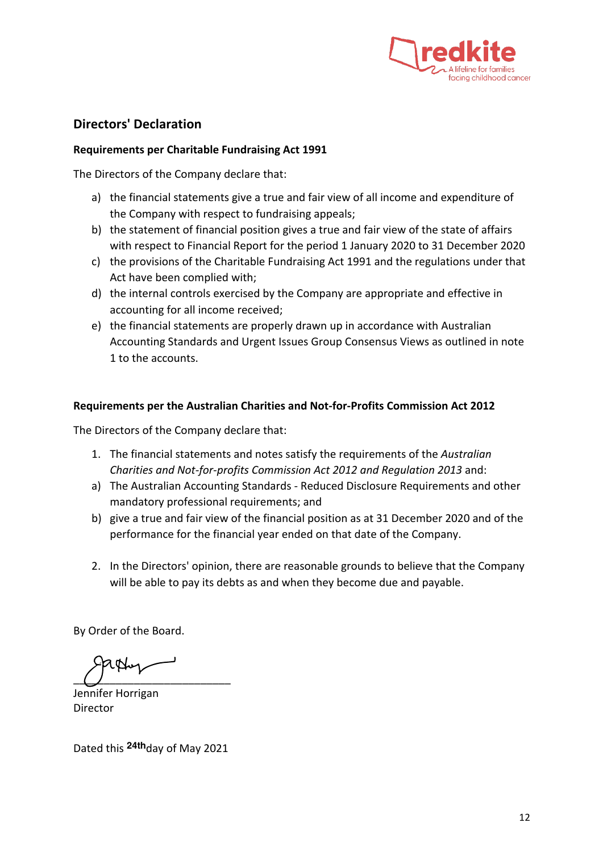

# **Directors' Declaration**

### **Requirements per Charitable Fundraising Act 1991**

The Directors of the Company declare that:

- a) the financial statements give a true and fair view of all income and expenditure of the Company with respect to fundraising appeals;
- b) the statement of financial position gives a true and fair view of the state of affairs with respect to Financial Report for the period 1 January 2020 to 31 December 2020
- c) the provisions of the Charitable Fundraising Act 1991 and the regulations under that Act have been complied with;
- d) the internal controls exercised by the Company are appropriate and effective in accounting for all income received;
- e) the financial statements are properly drawn up in accordance with Australian Accounting Standards and Urgent Issues Group Consensus Views as outlined in note 1 to the accounts.

### **Requirements per the Australian Charities and Not-for-Profits Commission Act 2012**

The Directors of the Company declare that:

- 1. The financial statements and notes satisfy the requirements of the *Australian Charities and Not-for-profits Commission Act 2012 and Regulation 2013* and:
- a) The Australian Accounting Standards Reduced Disclosure Requirements and other mandatory professional requirements; and
- b) give a true and fair view of the financial position as at 31 December 2020 and of the performance for the financial year ended on that date of the Company.
- 2. In the Directors' opinion, there are reasonable grounds to believe that the Company will be able to pay its debts as and when they become due and payable.

By Order of the Board.

 $\overline{a}$   $\overline{a}$   $\overline{a}$   $\overline{a}$   $\overline{a}$   $\overline{a}$   $\overline{a}$   $\overline{a}$   $\overline{a}$   $\overline{a}$   $\overline{a}$   $\overline{a}$   $\overline{a}$   $\overline{a}$   $\overline{a}$   $\overline{a}$   $\overline{a}$   $\overline{a}$   $\overline{a}$   $\overline{a}$   $\overline{a}$   $\overline{a}$   $\overline{a}$   $\overline{a}$   $\overline{$ 

Jennifer Horrigan Director 

Dated this <sup>24th</sup>day of May 2021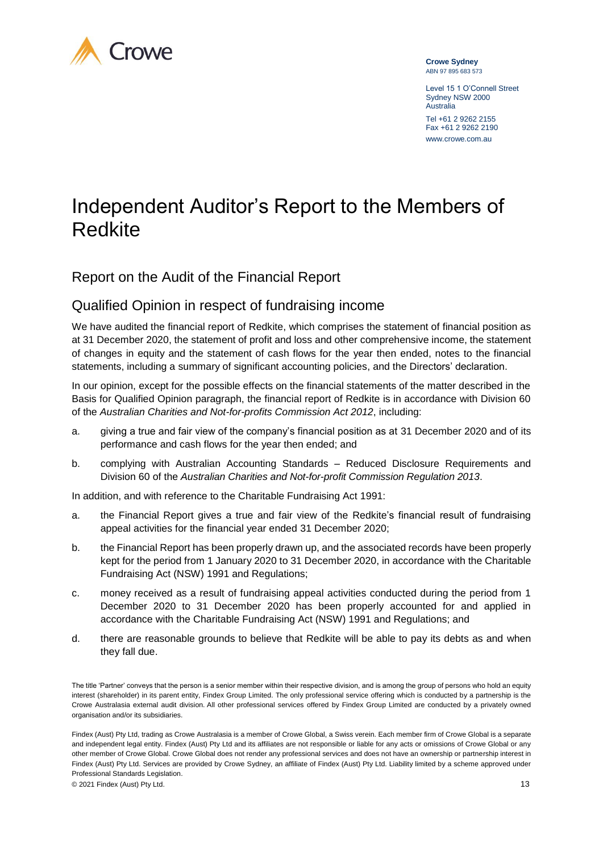

**Crowe Sydney** ABN 97 895 683 573

Level 15 1 O'Connell Street Sydney NSW 2000 Australia Tel +61 2 9262 2155 Fax +61 2 9262 2190 www.crowe.com.au

# Independent Auditor's Report to the Members of Redkite

Report on the Audit of the Financial Report

# Qualified Opinion in respect of fundraising income

We have audited the financial report of Redkite, which comprises the statement of financial position as at 31 December 2020, the statement of profit and loss and other comprehensive income, the statement of changes in equity and the statement of cash flows for the year then ended, notes to the financial statements, including a summary of significant accounting policies, and the Directors' declaration.

In our opinion, except for the possible effects on the financial statements of the matter described in the Basis for Qualified Opinion paragraph, the financial report of Redkite is in accordance with Division 60 of the *Australian Charities and Not-for-profits Commission Act 2012*, including:

- a. giving a true and fair view of the company's financial position as at 31 December 2020 and of its performance and cash flows for the year then ended; and
- b. complying with Australian Accounting Standards Reduced Disclosure Requirements and Division 60 of the *Australian Charities and Not-for-profit Commission Regulation 2013*.

In addition, and with reference to the Charitable Fundraising Act 1991:

- a. the Financial Report gives a true and fair view of the Redkite's financial result of fundraising appeal activities for the financial year ended 31 December 2020;
- b. the Financial Report has been properly drawn up, and the associated records have been properly kept for the period from 1 January 2020 to 31 December 2020, in accordance with the Charitable Fundraising Act (NSW) 1991 and Regulations;
- c. money received as a result of fundraising appeal activities conducted during the period from 1 December 2020 to 31 December 2020 has been properly accounted for and applied in accordance with the Charitable Fundraising Act (NSW) 1991 and Regulations; and
- d. there are reasonable grounds to believe that Redkite will be able to pay its debts as and when they fall due.

© 2021 Findex (Aust) Pty Ltd. 13

The title 'Partner' conveys that the person is a senior member within their respective division, and is among the group of persons who hold an equity interest (shareholder) in its parent entity, Findex Group Limited. The only professional service offering which is conducted by a partnership is the Crowe Australasia external audit division. All other professional services offered by Findex Group Limited are conducted by a privately owned organisation and/or its subsidiaries.

Findex (Aust) Pty Ltd, trading as Crowe Australasia is a member of Crowe Global, a Swiss verein. Each member firm of Crowe Global is a separate and independent legal entity. Findex (Aust) Pty Ltd and its affiliates are not responsible or liable for any acts or omissions of Crowe Global or any other member of Crowe Global. Crowe Global does not render any professional services and does not have an ownership or partnership interest in Findex (Aust) Pty Ltd. Services are provided by Crowe Sydney, an affiliate of Findex (Aust) Pty Ltd. Liability limited by a scheme approved under Professional Standards Legislation.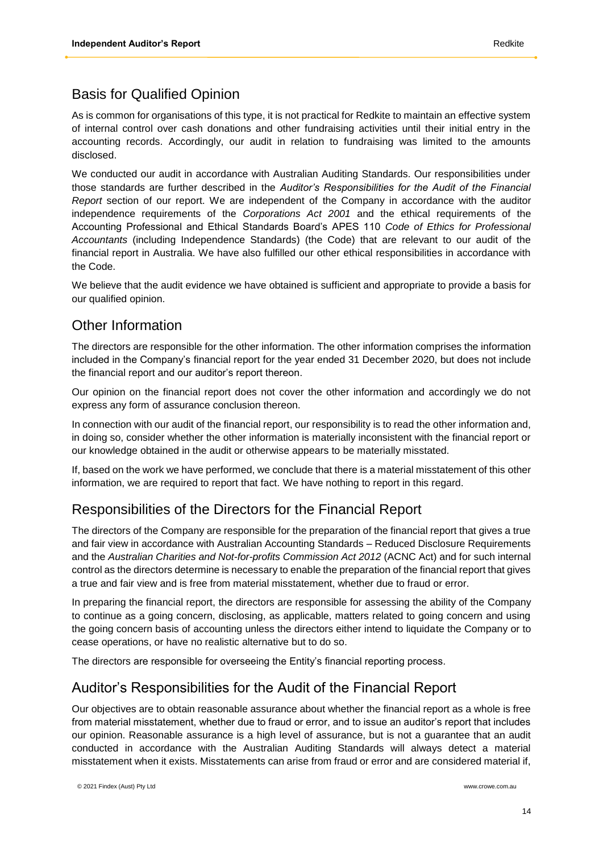# Basis for Qualified Opinion

As is common for organisations of this type, it is not practical for Redkite to maintain an effective system of internal control over cash donations and other fundraising activities until their initial entry in the accounting records. Accordingly, our audit in relation to fundraising was limited to the amounts disclosed.

We conducted our audit in accordance with Australian Auditing Standards. Our responsibilities under those standards are further described in the *Auditor's Responsibilities for the Audit of the Financial Report* section of our report. We are independent of the Company in accordance with the auditor independence requirements of the *Corporations Act 2001* and the ethical requirements of the Accounting Professional and Ethical Standards Board's APES 110 *Code of Ethics for Professional Accountants* (including Independence Standards) (the Code) that are relevant to our audit of the financial report in Australia. We have also fulfilled our other ethical responsibilities in accordance with the Code.

We believe that the audit evidence we have obtained is sufficient and appropriate to provide a basis for our qualified opinion.

# Other Information

The directors are responsible for the other information. The other information comprises the information included in the Company's financial report for the year ended 31 December 2020, but does not include the financial report and our auditor's report thereon.

Our opinion on the financial report does not cover the other information and accordingly we do not express any form of assurance conclusion thereon.

In connection with our audit of the financial report, our responsibility is to read the other information and, in doing so, consider whether the other information is materially inconsistent with the financial report or our knowledge obtained in the audit or otherwise appears to be materially misstated.

If, based on the work we have performed, we conclude that there is a material misstatement of this other information, we are required to report that fact. We have nothing to report in this regard.

# Responsibilities of the Directors for the Financial Report

The directors of the Company are responsible for the preparation of the financial report that gives a true and fair view in accordance with Australian Accounting Standards – Reduced Disclosure Requirements and the *Australian Charities and Not-for-profits Commission Act 2012* (ACNC Act) and for such internal control as the directors determine is necessary to enable the preparation of the financial report that gives a true and fair view and is free from material misstatement, whether due to fraud or error.

In preparing the financial report, the directors are responsible for assessing the ability of the Company to continue as a going concern, disclosing, as applicable, matters related to going concern and using the going concern basis of accounting unless the directors either intend to liquidate the Company or to cease operations, or have no realistic alternative but to do so.

The directors are responsible for overseeing the Entity's financial reporting process.

# Auditor's Responsibilities for the Audit of the Financial Report

Our objectives are to obtain reasonable assurance about whether the financial report as a whole is free from material misstatement, whether due to fraud or error, and to issue an auditor's report that includes our opinion. Reasonable assurance is a high level of assurance, but is not a guarantee that an audit conducted in accordance with the Australian Auditing Standards will always detect a material misstatement when it exists. Misstatements can arise from fraud or error and are considered material if,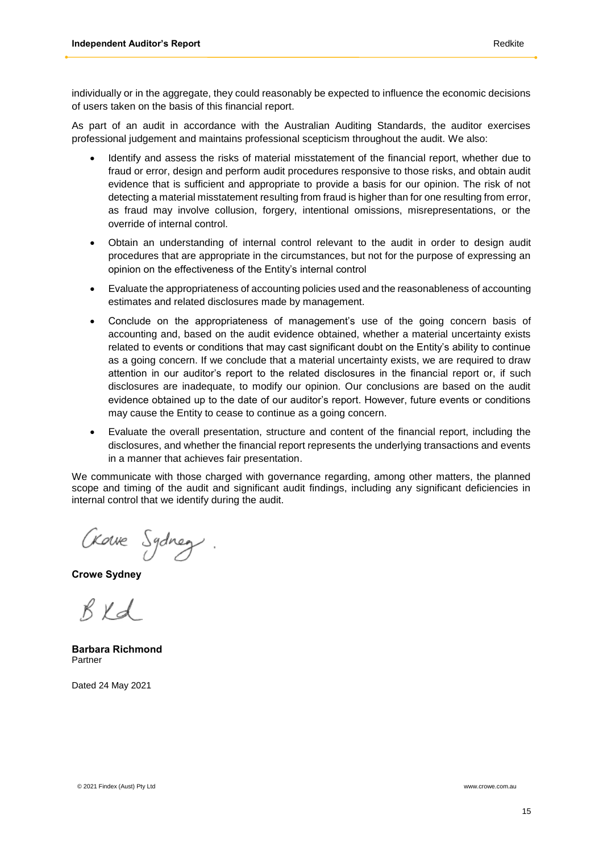individually or in the aggregate, they could reasonably be expected to influence the economic decisions of users taken on the basis of this financial report.

As part of an audit in accordance with the Australian Auditing Standards, the auditor exercises professional judgement and maintains professional scepticism throughout the audit. We also:

- Identify and assess the risks of material misstatement of the financial report, whether due to fraud or error, design and perform audit procedures responsive to those risks, and obtain audit evidence that is sufficient and appropriate to provide a basis for our opinion. The risk of not detecting a material misstatement resulting from fraud is higher than for one resulting from error, as fraud may involve collusion, forgery, intentional omissions, misrepresentations, or the override of internal control.
- Obtain an understanding of internal control relevant to the audit in order to design audit procedures that are appropriate in the circumstances, but not for the purpose of expressing an opinion on the effectiveness of the Entity's internal control
- Evaluate the appropriateness of accounting policies used and the reasonableness of accounting estimates and related disclosures made by management.
- Conclude on the appropriateness of management's use of the going concern basis of accounting and, based on the audit evidence obtained, whether a material uncertainty exists related to events or conditions that may cast significant doubt on the Entity's ability to continue as a going concern. If we conclude that a material uncertainty exists, we are required to draw attention in our auditor's report to the related disclosures in the financial report or, if such disclosures are inadequate, to modify our opinion. Our conclusions are based on the audit evidence obtained up to the date of our auditor's report. However, future events or conditions may cause the Entity to cease to continue as a going concern.
- Evaluate the overall presentation, structure and content of the financial report, including the disclosures, and whether the financial report represents the underlying transactions and events in a manner that achieves fair presentation.

We communicate with those charged with governance regarding, among other matters, the planned scope and timing of the audit and significant audit findings, including any significant deficiencies in internal control that we identify during the audit.

Crowe Sydney

**Crowe Sydney**

 $R\times d$ 

**Barbara Richmond** Partner

Dated 24 May 2021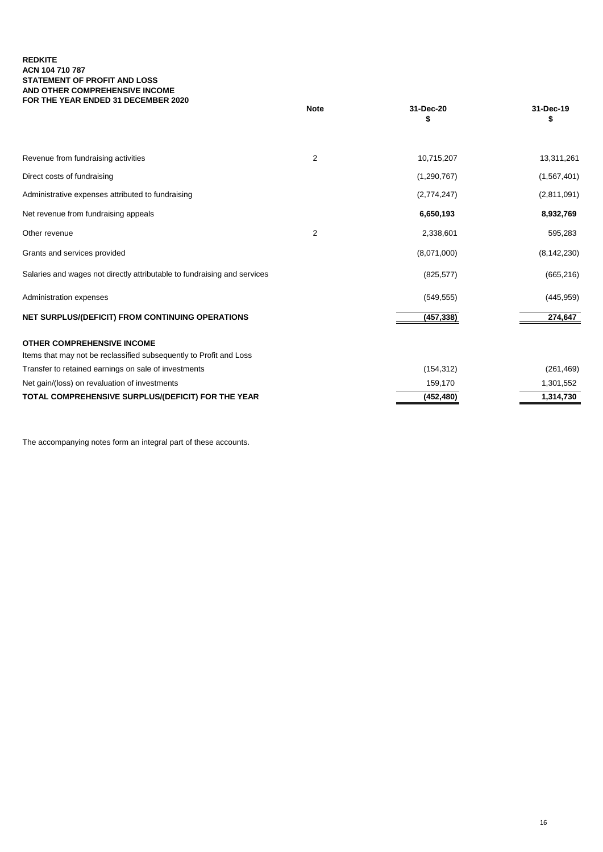#### **REDKITE ACN 104 710 787 STATEMENT OF PROFIT AND LOSS AND OTHER COMPREHENSIVE INCOME FOR THE YEAR ENDED 31 DECEMBER 2020**

|                                                                          | <b>Note</b>    | 31-Dec-20     | 31-Dec-19     |
|--------------------------------------------------------------------------|----------------|---------------|---------------|
|                                                                          |                |               |               |
| Revenue from fundraising activities                                      | $\overline{2}$ | 10,715,207    | 13,311,261    |
| Direct costs of fundraising                                              |                | (1, 290, 767) | (1, 567, 401) |
| Administrative expenses attributed to fundraising                        |                | (2,774,247)   | (2,811,091)   |
| Net revenue from fundraising appeals                                     |                | 6,650,193     | 8,932,769     |
| Other revenue                                                            | $\overline{2}$ | 2,338,601     | 595,283       |
| Grants and services provided                                             |                | (8,071,000)   | (8, 142, 230) |
| Salaries and wages not directly attributable to fundraising and services |                | (825, 577)    | (665, 216)    |
| Administration expenses                                                  |                | (549, 555)    | (445, 959)    |
| NET SURPLUS/(DEFICIT) FROM CONTINUING OPERATIONS                         |                | (457, 338)    | 274,647       |
| <b>OTHER COMPREHENSIVE INCOME</b>                                        |                |               |               |
| Items that may not be reclassified subsequently to Profit and Loss       |                |               |               |
| Transfer to retained earnings on sale of investments                     |                | (154, 312)    | (261, 469)    |
| Net gain/(loss) on revaluation of investments                            |                | 159,170       | 1,301,552     |
| TOTAL COMPREHENSIVE SURPLUS/(DEFICIT) FOR THE YEAR                       |                | (452, 480)    | 1,314,730     |

The accompanying notes form an integral part of these accounts.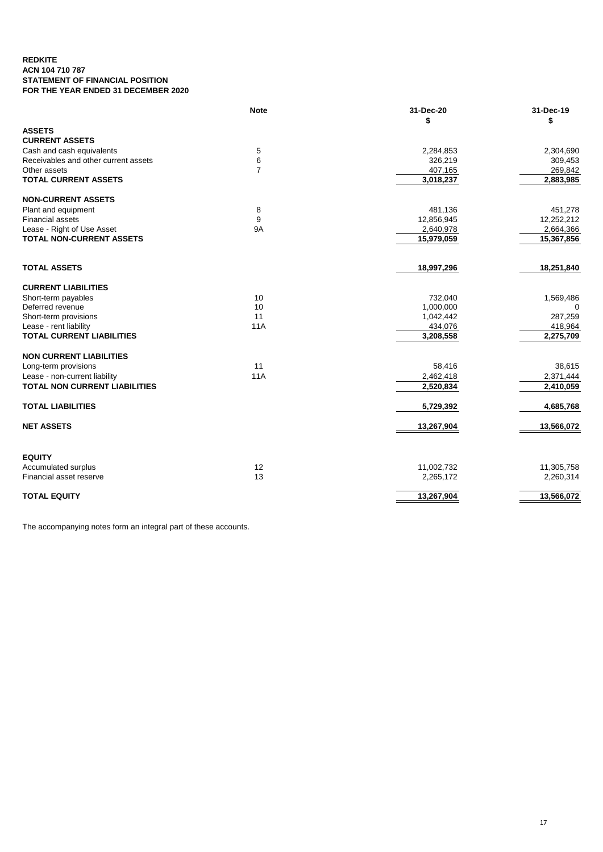#### **REDKITE ACN 104 710 787 STATEMENT OF FINANCIAL POSITION FOR THE YEAR ENDED 31 DECEMBER 2020**

|                                      | <b>Note</b>    | 31-Dec-20  | 31-Dec-19<br>\$ |
|--------------------------------------|----------------|------------|-----------------|
| <b>ASSETS</b>                        |                |            |                 |
| <b>CURRENT ASSETS</b>                |                |            |                 |
| Cash and cash equivalents            | 5              | 2,284,853  | 2,304,690       |
| Receivables and other current assets | $\,6$          | 326,219    | 309,453         |
| Other assets                         | $\overline{7}$ | 407,165    | 269,842         |
| <b>TOTAL CURRENT ASSETS</b>          |                | 3,018,237  | 2,883,985       |
| <b>NON-CURRENT ASSETS</b>            |                |            |                 |
| Plant and equipment                  | 8              | 481,136    | 451,278         |
| <b>Financial assets</b>              | 9              | 12,856,945 | 12,252,212      |
| Lease - Right of Use Asset           | <b>9A</b>      | 2,640,978  | 2,664,366       |
| <b>TOTAL NON-CURRENT ASSETS</b>      |                | 15,979,059 | 15,367,856      |
|                                      |                |            |                 |
| <b>TOTAL ASSETS</b>                  |                | 18,997,296 | 18,251,840      |
| <b>CURRENT LIABILITIES</b>           |                |            |                 |
| Short-term payables                  | 10             | 732,040    | 1,569,486       |
| Deferred revenue                     | 10             | 1,000,000  | 0               |
| Short-term provisions                | 11             | 1,042,442  | 287,259         |
| Lease - rent liability               | <b>11A</b>     | 434,076    | 418,964         |
| <b>TOTAL CURRENT LIABILITIES</b>     |                | 3,208,558  | 2,275,709       |
| <b>NON CURRENT LIABILITIES</b>       |                |            |                 |
| Long-term provisions                 | 11             | 58,416     | 38,615          |
| Lease - non-current liability        | <b>11A</b>     | 2,462,418  | 2,371,444       |
| <b>TOTAL NON CURRENT LIABILITIES</b> |                | 2,520,834  | 2,410,059       |
| <b>TOTAL LIABILITIES</b>             |                | 5,729,392  | 4,685,768       |
| <b>NET ASSETS</b>                    |                | 13,267,904 | 13,566,072      |
|                                      |                |            |                 |
| <b>EQUITY</b>                        |                |            |                 |
| Accumulated surplus                  | 12             | 11,002,732 | 11,305,758      |
| Financial asset reserve              | 13             | 2,265,172  | 2,260,314       |
| <b>TOTAL EQUITY</b>                  |                | 13,267,904 | 13,566,072      |

The accompanying notes form an integral part of these accounts.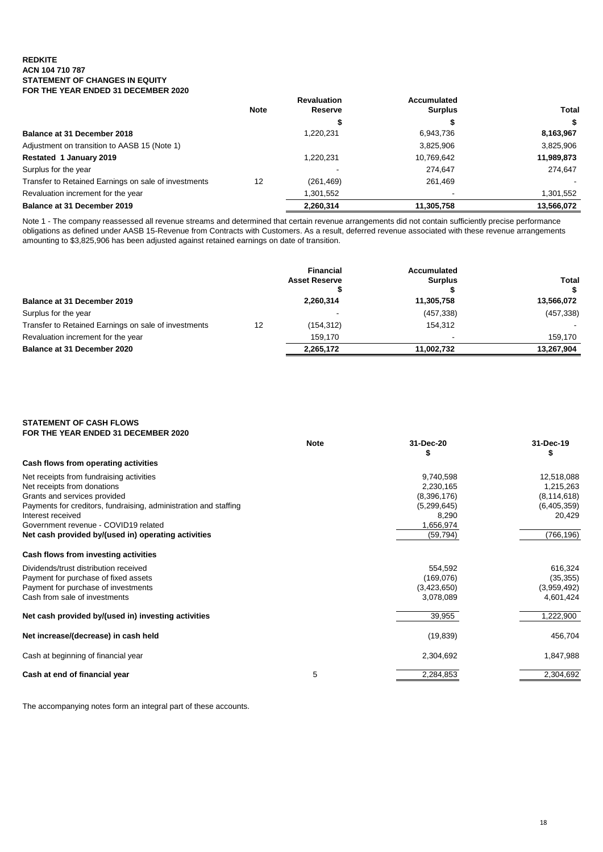#### **REDKITE ACN 104 710 787 STATEMENT OF CHANGES IN EQUITY FOR THE YEAR ENDED 31 DECEMBER 2020**

|                                                      |             | <b>Revaluation</b> | Accumulated    |            |
|------------------------------------------------------|-------------|--------------------|----------------|------------|
|                                                      | <b>Note</b> | Reserve            | <b>Surplus</b> | Total      |
|                                                      |             | Ф                  |                | S          |
| Balance at 31 December 2018                          |             | 1,220,231          | 6,943,736      | 8,163,967  |
| Adjustment on transition to AASB 15 (Note 1)         |             |                    | 3,825,906      | 3,825,906  |
| <b>Restated 1 January 2019</b>                       |             | 1.220.231          | 10,769,642     | 11,989,873 |
| Surplus for the year                                 |             |                    | 274.647        | 274.647    |
| Transfer to Retained Earnings on sale of investments | 12          | (261, 469)         | 261.469        |            |
| Revaluation increment for the year                   |             | 1,301,552          |                | 1,301,552  |
| Balance at 31 December 2019                          |             | 2.260.314          | 11.305.758     | 13.566.072 |

Note 1 - The company reassessed all revenue streams and determined that certain revenue arrangements did not contain sufficiently precise performance obligations as defined under AASB 15-Revenue from Contracts with Customers. As a result, deferred revenue associated with these revenue arrangements amounting to \$3,825,906 has been adjusted against retained earnings on date of transition.

|                                                      |    | <b>Financial</b><br><b>Asset Reserve</b> | Accumulated<br><b>Surplus</b> | Total<br>S |
|------------------------------------------------------|----|------------------------------------------|-------------------------------|------------|
| <b>Balance at 31 December 2019</b>                   |    | 2,260,314                                | 11,305,758                    | 13,566,072 |
| Surplus for the year                                 |    |                                          | (457, 338)                    | (457, 338) |
| Transfer to Retained Earnings on sale of investments | 12 | (154,312)                                | 154.312                       |            |
| Revaluation increment for the year                   |    | 159.170                                  |                               | 159.170    |
| Balance at 31 December 2020                          |    | 2,265,172                                | 11.002.732                    | 13,267,904 |

#### **STATEMENT OF CASH FLOWS FOR THE YEAR ENDED 31 DECEMBER 2020**

|                                                                  | <b>Note</b> | 31-Dec-20   | 31-Dec-19     |
|------------------------------------------------------------------|-------------|-------------|---------------|
|                                                                  |             |             | S             |
| Cash flows from operating activities                             |             |             |               |
| Net receipts from fundraising activities                         |             | 9,740,598   | 12,518,088    |
| Net receipts from donations                                      |             | 2,230,165   | 1,215,263     |
| Grants and services provided                                     |             | (8,396,176) | (8, 114, 618) |
| Payments for creditors, fundraising, administration and staffing |             | (5,299,645) | (6,405,359)   |
| Interest received                                                |             | 8,290       | 20,429        |
| Government revenue - COVID19 related                             |             | 1,656,974   |               |
| Net cash provided by/(used in) operating activities              |             | (59, 794)   | (766, 196)    |
| Cash flows from investing activities                             |             |             |               |
| Dividends/trust distribution received                            |             | 554,592     | 616,324       |
| Payment for purchase of fixed assets                             |             | (169,076)   | (35, 355)     |
| Payment for purchase of investments                              |             | (3,423,650) | (3,959,492)   |
| Cash from sale of investments                                    |             | 3,078,089   | 4,601,424     |
| Net cash provided by/(used in) investing activities              |             | 39,955      | 1,222,900     |
| Net increase/(decrease) in cash held                             |             | (19, 839)   | 456,704       |
| Cash at beginning of financial year                              |             | 2,304,692   | 1,847,988     |
| Cash at end of financial year                                    | 5           | 2,284,853   | 2,304,692     |

The accompanying notes form an integral part of these accounts.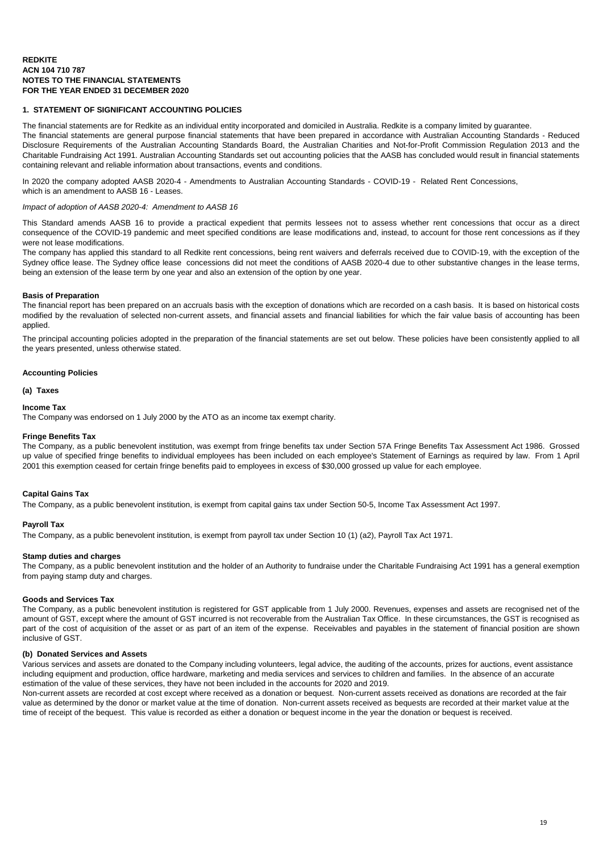#### **1. STATEMENT OF SIGNIFICANT ACCOUNTING POLICIES**

The financial statements are for Redkite as an individual entity incorporated and domiciled in Australia. Redkite is a company limited by guarantee. The financial statements are general purpose financial statements that have been prepared in accordance with Australian Accounting Standards - Reduced Disclosure Requirements of the Australian Accounting Standards Board, the Australian Charities and Not-for-Profit Commission Regulation 2013 and the Charitable Fundraising Act 1991. Australian Accounting Standards set out accounting policies that the AASB has concluded would result in financial statements containing relevant and reliable information about transactions, events and conditions.

In 2020 the company adopted AASB 2020-4 - Amendments to Australian Accounting Standards - COVID-19 - Related Rent Concessions, which is an amendment to AASB 16 - Leases.

#### *Impact of adoption of AASB 2020-4: Amendment to AASB 16*

This Standard amends AASB 16 to provide a practical expedient that permits lessees not to assess whether rent concessions that occur as a direct consequence of the COVID-19 pandemic and meet specified conditions are lease modifications and, instead, to account for those rent concessions as if they were not lease modifications.

The company has applied this standard to all Redkite rent concessions, being rent waivers and deferrals received due to COVID-19, with the exception of the Sydney office lease. The Sydney office lease concessions did not meet the conditions of AASB 2020-4 due to other substantive changes in the lease terms, being an extension of the lease term by one year and also an extension of the option by one year.

#### **Basis of Preparation**

The financial report has been prepared on an accruals basis with the exception of donations which are recorded on a cash basis. It is based on historical costs modified by the revaluation of selected non-current assets, and financial assets and financial liabilities for which the fair value basis of accounting has been applied.

The principal accounting policies adopted in the preparation of the financial statements are set out below. These policies have been consistently applied to all the years presented, unless otherwise stated.

#### **Accounting Policies**

#### **(a) Taxes**

#### **Income Tax**

The Company was endorsed on 1 July 2000 by the ATO as an income tax exempt charity.

#### **Fringe Benefits Tax**

The Company, as a public benevolent institution, was exempt from fringe benefits tax under Section 57A Fringe Benefits Tax Assessment Act 1986. Grossed up value of specified fringe benefits to individual employees has been included on each employee's Statement of Earnings as required by law. From 1 April 2001 this exemption ceased for certain fringe benefits paid to employees in excess of \$30,000 grossed up value for each employee.

#### **Capital Gains Tax**

The Company, as a public benevolent institution, is exempt from capital gains tax under Section 50-5, Income Tax Assessment Act 1997.

#### **Payroll Tax**

The Company, as a public benevolent institution, is exempt from payroll tax under Section 10 (1) (a2), Payroll Tax Act 1971.

#### **Stamp duties and charges**

The Company, as a public benevolent institution and the holder of an Authority to fundraise under the Charitable Fundraising Act 1991 has a general exemption from paying stamp duty and charges.

#### **Goods and Services Tax**

The Company, as a public benevolent institution is registered for GST applicable from 1 July 2000. Revenues, expenses and assets are recognised net of the amount of GST, except where the amount of GST incurred is not recoverable from the Australian Tax Office. In these circumstances, the GST is recognised as part of the cost of acquisition of the asset or as part of an item of the expense. Receivables and payables in the statement of financial position are shown inclusive of GST.

#### **(b) Donated Services and Assets**

Various services and assets are donated to the Company including volunteers, legal advice, the auditing of the accounts, prizes for auctions, event assistance including equipment and production, office hardware, marketing and media services and services to children and families. In the absence of an accurate estimation of the value of these services, they have not been included in the accounts for 2020 and 2019.

Non-current assets are recorded at cost except where received as a donation or bequest. Non-current assets received as donations are recorded at the fair value as determined by the donor or market value at the time of donation. Non-current assets received as bequests are recorded at their market value at the time of receipt of the bequest. This value is recorded as either a donation or bequest income in the year the donation or bequest is received.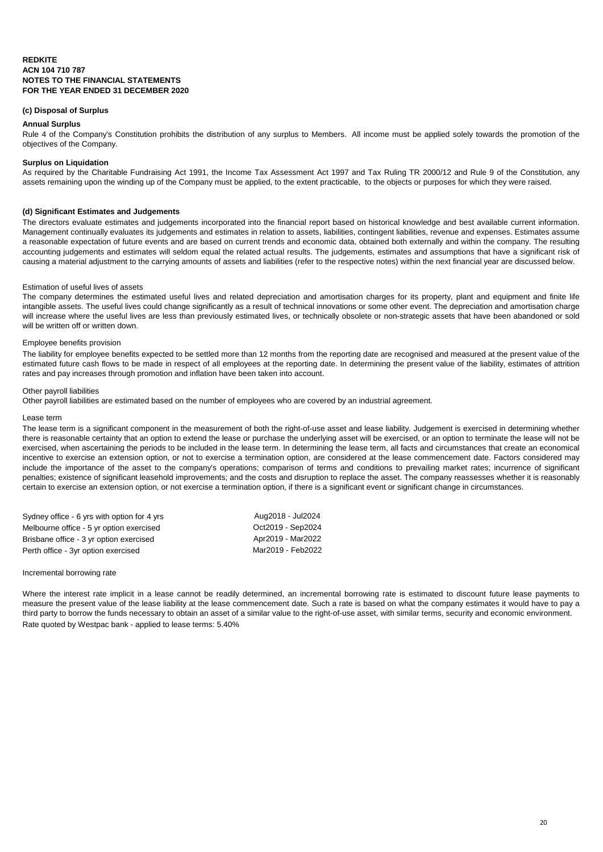#### **(c) Disposal of Surplus**

#### **Annual Surplus**

Rule 4 of the Company's Constitution prohibits the distribution of any surplus to Members. All income must be applied solely towards the promotion of the objectives of the Company.

#### **Surplus on Liquidation**

As required by the Charitable Fundraising Act 1991, the Income Tax Assessment Act 1997 and Tax Ruling TR 2000/12 and Rule 9 of the Constitution, any assets remaining upon the winding up of the Company must be applied, to the extent practicable, to the objects or purposes for which they were raised.

#### **(d) Significant Estimates and Judgements**

The directors evaluate estimates and judgements incorporated into the financial report based on historical knowledge and best available current information. Management continually evaluates its judgements and estimates in relation to assets, liabilities, contingent liabilities, revenue and expenses. Estimates assume a reasonable expectation of future events and are based on current trends and economic data, obtained both externally and within the company. The resulting accounting judgements and estimates will seldom equal the related actual results. The judgements, estimates and assumptions that have a significant risk of causing a material adjustment to the carrying amounts of assets and liabilities (refer to the respective notes) within the next financial year are discussed below.

#### Estimation of useful lives of assets

The company determines the estimated useful lives and related depreciation and amortisation charges for its property, plant and equipment and finite life intangible assets. The useful lives could change significantly as a result of technical innovations or some other event. The depreciation and amortisation charge will increase where the useful lives are less than previously estimated lives, or technically obsolete or non-strategic assets that have been abandoned or sold will be written off or written down.

#### Employee benefits provision

The liability for employee benefits expected to be settled more than 12 months from the reporting date are recognised and measured at the present value of the estimated future cash flows to be made in respect of all employees at the reporting date. In determining the present value of the liability, estimates of attrition rates and pay increases through promotion and inflation have been taken into account.

#### Other payroll liabilities

Other payroll liabilities are estimated based on the number of employees who are covered by an industrial agreement.

#### Lease term

The lease term is a significant component in the measurement of both the right-of-use asset and lease liability. Judgement is exercised in determining whether there is reasonable certainty that an option to extend the lease or purchase the underlying asset will be exercised, or an option to terminate the lease will not be exercised, when ascertaining the periods to be included in the lease term. In determining the lease term, all facts and circumstances that create an economical incentive to exercise an extension option, or not to exercise a termination option, are considered at the lease commencement date. Factors considered may include the importance of the asset to the company's operations; comparison of terms and conditions to prevailing market rates; incurrence of significant penalties; existence of significant leasehold improvements; and the costs and disruption to replace the asset. The company reassesses whether it is reasonably certain to exercise an extension option, or not exercise a termination option, if there is a significant event or significant change in circumstances.

| Sydney office - 6 yrs with option for 4 yrs | Aug2018 - Jul2024 |
|---------------------------------------------|-------------------|
| Melbourne office - 5 yr option exercised    | Oct2019 - Sep2024 |
| Brisbane office - 3 yr option exercised     | Apr2019 - Mar2022 |
| Perth office - 3yr option exercised         | Mar2019 - Feb2022 |

#### Incremental borrowing rate

Where the interest rate implicit in a lease cannot be readily determined, an incremental borrowing rate is estimated to discount future lease payments to measure the present value of the lease liability at the lease commencement date. Such a rate is based on what the company estimates it would have to pay a third party to borrow the funds necessary to obtain an asset of a similar value to the right-of-use asset, with similar terms, security and economic environment. Rate quoted by Westpac bank - applied to lease terms: 5.40%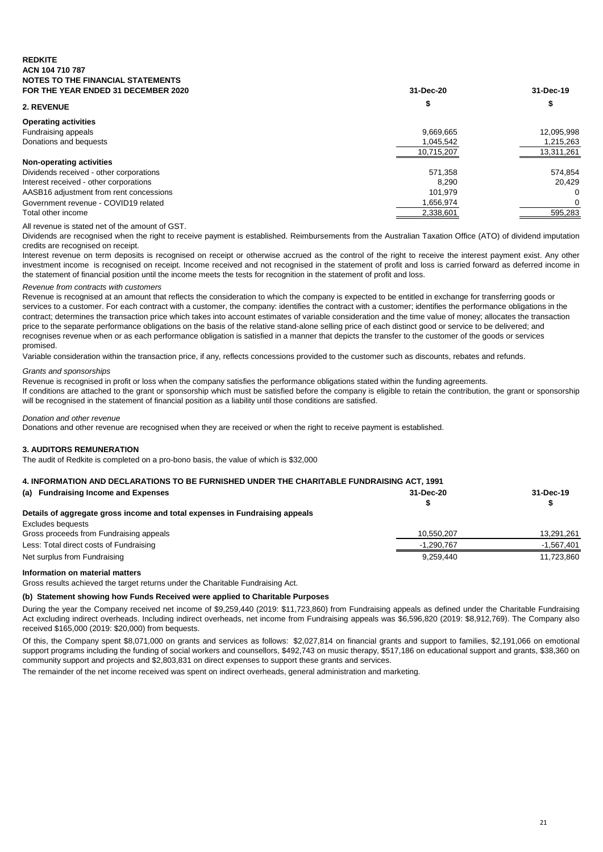### **REDKITE ACN 104 710 787 NOTES TO THE FINANCIAL STATEMENTS**

| FOR THE YEAR ENDED 31 DECEMBER 2020     | 31-Dec-20  | 31-Dec-19  |
|-----------------------------------------|------------|------------|
| 2. REVENUE                              |            | Φ          |
| <b>Operating activities</b>             |            |            |
| Fundraising appeals                     | 9,669,665  | 12,095,998 |
| Donations and bequests                  | 1,045,542  | 1,215,263  |
|                                         | 10,715,207 | 13,311,261 |
| Non-operating activities                |            |            |
| Dividends received - other corporations | 571,358    | 574,854    |
| Interest received - other corporations  | 8.290      | 20.429     |
| AASB16 adjustment from rent concessions | 101.979    | $\Omega$   |
| Government revenue - COVID19 related    | 1.656.974  | 0          |
| Total other income                      | 2,338,601  | 595,283    |

#### All revenue is stated net of the amount of GST.

Dividends are recognised when the right to receive payment is established. Reimbursements from the Australian Taxation Office (ATO) of dividend imputation credits are recognised on receipt.

Interest revenue on term deposits is recognised on receipt or otherwise accrued as the control of the right to receive the interest payment exist. Any other investment income is recognised on receipt. Income received and not recognised in the statement of profit and loss is carried forward as deferred income in the statement of financial position until the income meets the tests for recognition in the statement of profit and loss.

#### *Revenue from contracts with customers*

Revenue is recognised at an amount that reflects the consideration to which the company is expected to be entitled in exchange for transferring goods or services to a customer. For each contract with a customer, the company: identifies the contract with a customer; identifies the performance obligations in the contract; determines the transaction price which takes into account estimates of variable consideration and the time value of money; allocates the transaction price to the separate performance obligations on the basis of the relative stand-alone selling price of each distinct good or service to be delivered; and recognises revenue when or as each performance obligation is satisfied in a manner that depicts the transfer to the customer of the goods or services promised.

Variable consideration within the transaction price, if any, reflects concessions provided to the customer such as discounts, rebates and refunds.

#### *Grants and sponsorships*

Revenue is recognised in profit or loss when the company satisfies the performance obligations stated within the funding agreements.

If conditions are attached to the grant or sponsorship which must be satisfied before the company is eligible to retain the contribution, the grant or sponsorship will be recognised in the statement of financial position as a liability until those conditions are satisfied.

#### *Donation and other revenue*

Donations and other revenue are recognised when they are received or when the right to receive payment is established.

#### **3. AUDITORS REMUNERATION**

The audit of Redkite is completed on a pro-bono basis, the value of which is \$32,000

| 4. INFORMATION AND DECLARATIONS TO BE FURNISHED UNDER THE CHARITABLE FUNDRAISING ACT, 1991 |            |              |
|--------------------------------------------------------------------------------------------|------------|--------------|
| (a) Fundraising Income and Expenses                                                        | 31-Dec-20  | 31-Dec-19    |
| Details of aggregate gross income and total expenses in Fundraising appeals                |            |              |
| Excludes bequests                                                                          |            |              |
| Gross proceeds from Fundraising appeals                                                    | 10.550.207 | 13,291,261   |
| Less: Total direct costs of Fundraising                                                    | -1,290,767 | $-1.567.401$ |
| Net surplus from Fundraising                                                               | 9.259.440  | 11,723,860   |

#### **Information on material matters**

Gross results achieved the target returns under the Charitable Fundraising Act.

#### **(b) Statement showing how Funds Received were applied to Charitable Purposes**

During the year the Company received net income of \$9,259,440 (2019: \$11,723,860) from Fundraising appeals as defined under the Charitable Fundraising Act excluding indirect overheads. Including indirect overheads, net income from Fundraising appeals was \$6,596,820 (2019: \$8,912,769). The Company also received \$165,000 (2019: \$20,000) from bequests.

Of this, the Company spent \$8,071,000 on grants and services as follows: \$2,027,814 on financial grants and support to families, \$2,191,066 on emotional support programs including the funding of social workers and counsellors, \$492,743 on music therapy, \$517,186 on educational support and grants, \$38,360 on community support and projects and \$2,803,831 on direct expenses to support these grants and services.

The remainder of the net income received was spent on indirect overheads, general administration and marketing.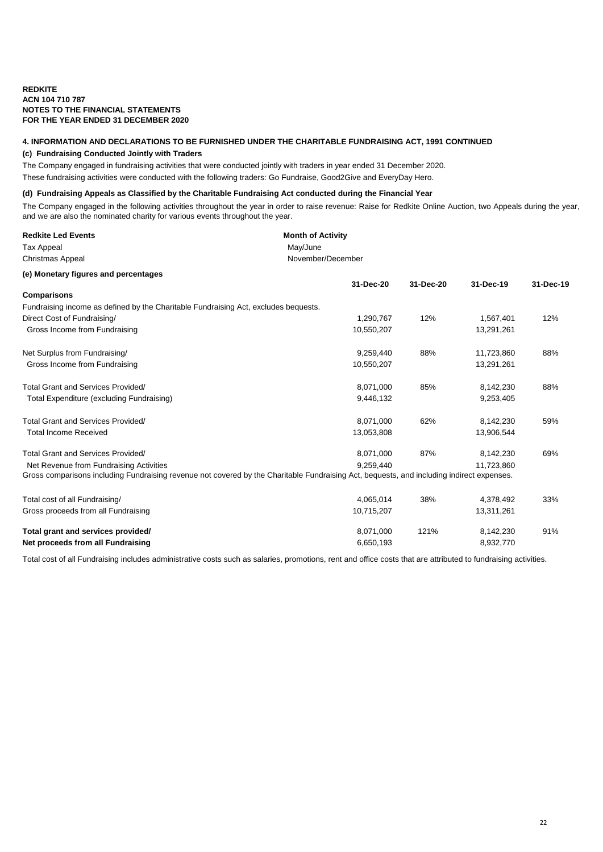# **4. INFORMATION AND DECLARATIONS TO BE FURNISHED UNDER THE CHARITABLE FUNDRAISING ACT, 1991 CONTINUED**

### **(c) Fundraising Conducted Jointly with Traders**

The Company engaged in fundraising activities that were conducted jointly with traders in year ended 31 December 2020.

These fundraising activities were conducted with the following traders: Go Fundraise, Good2Give and EveryDay Hero.

#### **(d) Fundraising Appeals as Classified by the Charitable Fundraising Act conducted during the Financial Year**

The Company engaged in the following activities throughout the year in order to raise revenue: Raise for Redkite Online Auction, two Appeals during the year, and we are also the nominated charity for various events throughout the year.

| <b>Redkite Led Events</b>                                                                                                                 | <b>Month of Activity</b> |           |            |           |
|-------------------------------------------------------------------------------------------------------------------------------------------|--------------------------|-----------|------------|-----------|
| <b>Tax Appeal</b>                                                                                                                         | May/June                 |           |            |           |
| <b>Christmas Appeal</b>                                                                                                                   | November/December        |           |            |           |
| (e) Monetary figures and percentages                                                                                                      |                          |           |            |           |
|                                                                                                                                           | 31-Dec-20                | 31-Dec-20 | 31-Dec-19  | 31-Dec-19 |
| Comparisons                                                                                                                               |                          |           |            |           |
| Fundraising income as defined by the Charitable Fundraising Act, excludes bequests.                                                       |                          |           |            |           |
| Direct Cost of Fundraising/                                                                                                               | 1,290,767                | 12%       | 1,567,401  | 12%       |
| Gross Income from Fundraising                                                                                                             | 10,550,207               |           | 13,291,261 |           |
| Net Surplus from Fundraising/                                                                                                             | 9,259,440                | 88%       | 11,723,860 | 88%       |
| Gross Income from Fundraising                                                                                                             | 10,550,207               |           | 13,291,261 |           |
| <b>Total Grant and Services Provided/</b>                                                                                                 | 8,071,000                | 85%       | 8,142,230  | 88%       |
| Total Expenditure (excluding Fundraising)                                                                                                 | 9,446,132                |           | 9,253,405  |           |
| <b>Total Grant and Services Provided/</b>                                                                                                 | 8,071,000                | 62%       | 8,142,230  | 59%       |
| <b>Total Income Received</b>                                                                                                              | 13,053,808               |           | 13,906,544 |           |
| <b>Total Grant and Services Provided/</b>                                                                                                 | 8,071,000                | 87%       | 8,142,230  | 69%       |
| Net Revenue from Fundraising Activities                                                                                                   | 9.259.440                |           | 11,723,860 |           |
| Gross comparisons including Fundraising revenue not covered by the Charitable Fundraising Act, bequests, and including indirect expenses. |                          |           |            |           |
| Total cost of all Fundraising/                                                                                                            | 4,065,014                | 38%       | 4,378,492  | 33%       |
| Gross proceeds from all Fundraising                                                                                                       | 10,715,207               |           | 13,311,261 |           |
| Total grant and services provided/                                                                                                        | 8,071,000                | 121%      | 8,142,230  | 91%       |
| Net proceeds from all Fundraising                                                                                                         | 6,650,193                |           | 8,932,770  |           |

Total cost of all Fundraising includes administrative costs such as salaries, promotions, rent and office costs that are attributed to fundraising activities.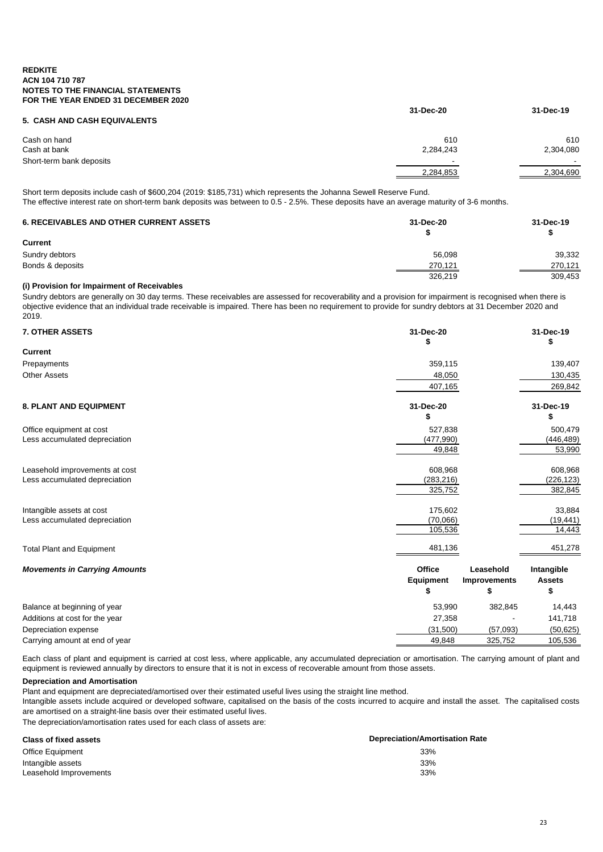|                              | 31-Dec-20 | 31-Dec-19                |
|------------------------------|-----------|--------------------------|
| 5. CASH AND CASH EQUIVALENTS |           |                          |
| Cash on hand                 | 610       | 610                      |
| Cash at bank                 | 2,284,243 | 2,304,080                |
| Short-term bank deposits     |           | $\overline{\phantom{0}}$ |
|                              | 2,284,853 | 2,304,690                |
|                              |           |                          |

Short term deposits include cash of \$600,204 (2019: \$185,731) which represents the Johanna Sewell Reserve Fund.

The effective interest rate on short-term bank deposits was between to 0.5 - 2.5%. These deposits have an average maturity of 3-6 months.

| <b>6. RECEIVABLES AND OTHER CURRENT ASSETS</b> | 31-Dec-20 | 31-Dec-19 |
|------------------------------------------------|-----------|-----------|
| <b>Current</b>                                 |           |           |
| Sundry debtors                                 | 56.098    | 39,332    |
| Bonds & deposits                               | 270,121   | 270.121   |
|                                                | 326.219   | 309,453   |

#### **(i) Provision for Impairment of Receivables**

Sundry debtors are generally on 30 day terms. These receivables are assessed for recoverability and a provision for impairment is recognised when there is objective evidence that an individual trade receivable is impaired. There has been no requirement to provide for sundry debtors at 31 December 2020 and 2019.

| <b>7. OTHER ASSETS</b>               | 31-Dec-20<br>\$            |                                  | 31-Dec-19<br>\$             |
|--------------------------------------|----------------------------|----------------------------------|-----------------------------|
| <b>Current</b>                       |                            |                                  |                             |
| Prepayments                          | 359,115                    |                                  | 139,407                     |
| <b>Other Assets</b>                  | 48,050                     |                                  | 130,435                     |
|                                      | 407,165                    |                                  | 269,842                     |
| 8. PLANT AND EQUIPMENT               | 31-Dec-20                  |                                  | 31-Dec-19                   |
|                                      |                            |                                  |                             |
| Office equipment at cost             | 527,838                    |                                  | 500,479                     |
| Less accumulated depreciation        | (477,990)                  |                                  | (446, 489)                  |
|                                      | 49,848                     |                                  | 53,990                      |
| Leasehold improvements at cost       | 608,968                    |                                  | 608,968                     |
| Less accumulated depreciation        | (283, 216)                 |                                  | (226, 123)                  |
|                                      | 325,752                    |                                  | 382,845                     |
| Intangible assets at cost            | 175,602                    |                                  | 33,884                      |
| Less accumulated depreciation        | (70,066)                   |                                  | (19, 441)                   |
|                                      | 105,536                    |                                  | 14,443                      |
| <b>Total Plant and Equipment</b>     | 481,136                    |                                  | 451,278                     |
| <b>Movements in Carrying Amounts</b> | Office<br><b>Equipment</b> | Leasehold<br><b>Improvements</b> | Intangible<br><b>Assets</b> |
|                                      | \$                         | S                                | \$                          |
| Balance at beginning of year         | 53,990                     | 382,845                          | 14,443                      |
| Additions at cost for the year       | 27,358                     |                                  | 141,718                     |
| Depreciation expense                 | (31,500)                   | (57,093)                         | (50, 625)                   |
| Carrying amount at end of year       | 49,848                     | 325,752                          | 105,536                     |

Each class of plant and equipment is carried at cost less, where applicable, any accumulated depreciation or amortisation. The carrying amount of plant and equipment is reviewed annually by directors to ensure that it is not in excess of recoverable amount from those assets.

#### **Depreciation and Amortisation**

Plant and equipment are depreciated/amortised over their estimated useful lives using the straight line method.

Intangible assets include acquired or developed software, capitalised on the basis of the costs incurred to acquire and install the asset. The capitalised costs are amortised on a straight-line basis over their estimated useful lives.

The depreciation/amortisation rates used for each class of assets are:

| <b>Class of fixed assets</b> | <b>Depreciation/Amortisation Rate</b> |
|------------------------------|---------------------------------------|
| <b>Office Equipment</b>      | 33%                                   |
| Intangible assets            | 33%                                   |
| Leasehold Improvements       | 33%                                   |
|                              |                                       |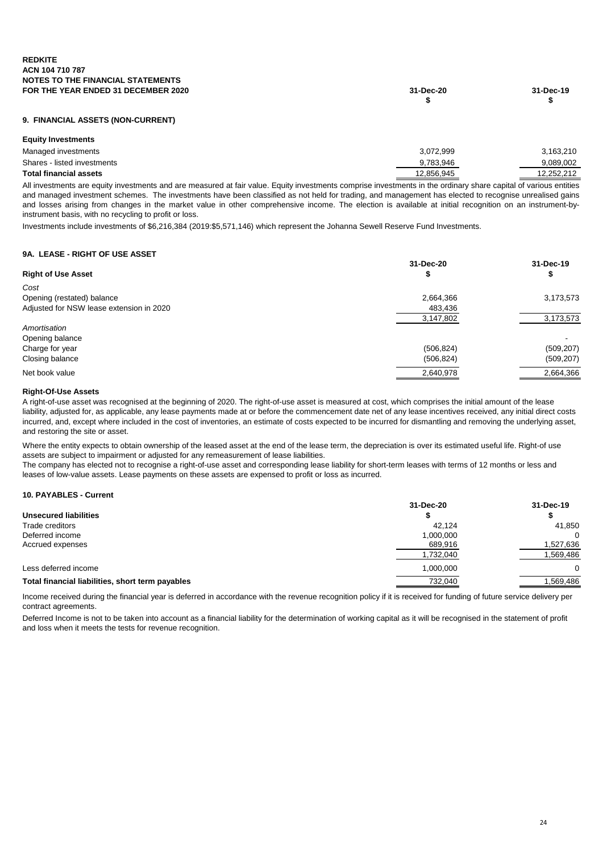| FOR THE YEAR ENDED 31 DECEMBER 2020 | 31-Dec-20 | 31-Dec-19 |
|-------------------------------------|-----------|-----------|
|                                     |           |           |
|                                     |           |           |

#### **9. FINANCIAL ASSETS (NON-CURRENT)**

| <b>Equity Investments</b>     |            |            |
|-------------------------------|------------|------------|
| Managed investments           | 3.072.999  | 3,163,210  |
| Shares - listed investments   | 9.783.946  | 9.089.002  |
| <b>Total financial assets</b> | 12.856.945 | 12.252.212 |
|                               |            |            |

All investments are equity investments and are measured at fair value. Equity investments comprise investments in the ordinary share capital of various entities and managed investment schemes. The investments have been classified as not held for trading, and management has elected to recognise unrealised gains and losses arising from changes in the market value in other comprehensive income. The election is available at initial recognition on an instrument-byinstrument basis, with no recycling to profit or loss.

Investments include investments of \$6,216,384 (2019:\$5,571,146) which represent the Johanna Sewell Reserve Fund Investments.

#### **9A. LEASE - RIGHT OF USE ASSET**

|                                          | 31-Dec-20  | 31-Dec-19  |
|------------------------------------------|------------|------------|
| <b>Right of Use Asset</b>                |            | Φ          |
| Cost                                     |            |            |
| Opening (restated) balance               | 2,664,366  | 3,173,573  |
| Adjusted for NSW lease extension in 2020 | 483,436    |            |
|                                          | 3,147,802  | 3,173,573  |
| Amortisation                             |            |            |
| Opening balance                          |            |            |
| Charge for year                          | (506, 824) | (509, 207) |
| Closing balance                          | (506, 824) | (509, 207) |
| Net book value                           | 2,640,978  | 2,664,366  |

#### **Right-Of-Use Assets**

A right-of-use asset was recognised at the beginning of 2020. The right-of-use asset is measured at cost, which comprises the initial amount of the lease liability, adjusted for, as applicable, any lease payments made at or before the commencement date net of any lease incentives received, any initial direct costs incurred, and, except where included in the cost of inventories, an estimate of costs expected to be incurred for dismantling and removing the underlying asset, and restoring the site or asset.

Where the entity expects to obtain ownership of the leased asset at the end of the lease term, the depreciation is over its estimated useful life. Right-of use assets are subject to impairment or adjusted for any remeasurement of lease liabilities.

The company has elected not to recognise a right-of-use asset and corresponding lease liability for short-term leases with terms of 12 months or less and leases of low-value assets. Lease payments on these assets are expensed to profit or loss as incurred.

#### **10. PAYABLES - Current**

| 31-Dec-19 |
|-----------|
|           |
| 41,850    |
| 0         |
| 1,527,636 |
| 1,569,486 |
| 0         |
| .569,486  |
|           |

Income received during the financial year is deferred in accordance with the revenue recognition policy if it is received for funding of future service delivery per contract agreements.

Deferred Income is not to be taken into account as a financial liability for the determination of working capital as it will be recognised in the statement of profit and loss when it meets the tests for revenue recognition.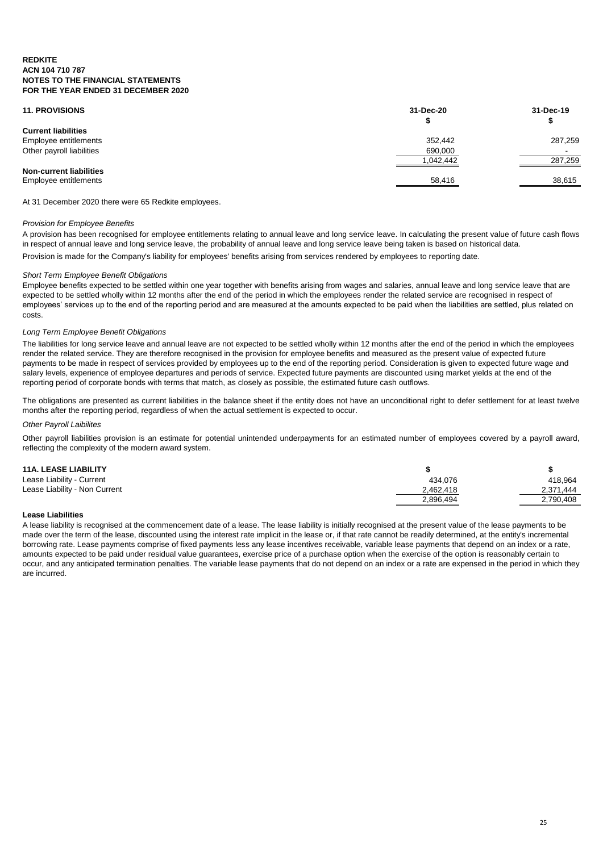| <b>11. PROVISIONS</b>          | 31-Dec-20<br>⊕ | 31-Dec-19 |
|--------------------------------|----------------|-----------|
| <b>Current liabilities</b>     |                |           |
| Employee entitlements          | 352,442        | 287,259   |
| Other payroll liabilities      | 690,000        |           |
|                                | 1,042,442      | 287,259   |
| <b>Non-current liabilities</b> |                |           |
| Employee entitlements          | 58,416         | 38,615    |
|                                |                |           |

At 31 December 2020 there were 65 Redkite employees.

#### *Provision for Employee Benefits*

A provision has been recognised for employee entitlements relating to annual leave and long service leave. In calculating the present value of future cash flows in respect of annual leave and long service leave, the probability of annual leave and long service leave being taken is based on historical data. Provision is made for the Company's liability for employees' benefits arising from services rendered by employees to reporting date.

#### *Short Term Employee Benefit Obligations*

Employee benefits expected to be settled within one year together with benefits arising from wages and salaries, annual leave and long service leave that are expected to be settled wholly within 12 months after the end of the period in which the employees render the related service are recognised in respect of employees' services up to the end of the reporting period and are measured at the amounts expected to be paid when the liabilities are settled, plus related on costs.

#### *Long Term Employee Benefit Obligations*

The liabilities for long service leave and annual leave are not expected to be settled wholly within 12 months after the end of the period in which the employees render the related service. They are therefore recognised in the provision for employee benefits and measured as the present value of expected future payments to be made in respect of services provided by employees up to the end of the reporting period. Consideration is given to expected future wage and salary levels, experience of employee departures and periods of service. Expected future payments are discounted using market yields at the end of the reporting period of corporate bonds with terms that match, as closely as possible, the estimated future cash outflows.

The obligations are presented as current liabilities in the balance sheet if the entity does not have an unconditional right to defer settlement for at least twelve months after the reporting period, regardless of when the actual settlement is expected to occur.

#### *Other Payroll Laibilites*

Other payroll liabilities provision is an estimate for potential unintended underpayments for an estimated number of employees covered by a payroll award, reflecting the complexity of the modern award system.

#### **11A. LEASE LIABILITY \$ \$**

| Lease Liability - Current     | 434.076   | 418,964   |
|-------------------------------|-----------|-----------|
| Lease Liability - Non Current | 2,462,418 | 2,371,444 |
|                               | 2,896,494 | 2,790,408 |
|                               |           |           |

#### **Lease Liabilities**

A lease liability is recognised at the commencement date of a lease. The lease liability is initially recognised at the present value of the lease payments to be made over the term of the lease, discounted using the interest rate implicit in the lease or, if that rate cannot be readily determined, at the entity's incremental borrowing rate. Lease payments comprise of fixed payments less any lease incentives receivable, variable lease payments that depend on an index or a rate, amounts expected to be paid under residual value guarantees, exercise price of a purchase option when the exercise of the option is reasonably certain to occur, and any anticipated termination penalties. The variable lease payments that do not depend on an index or a rate are expensed in the period in which they are incurred.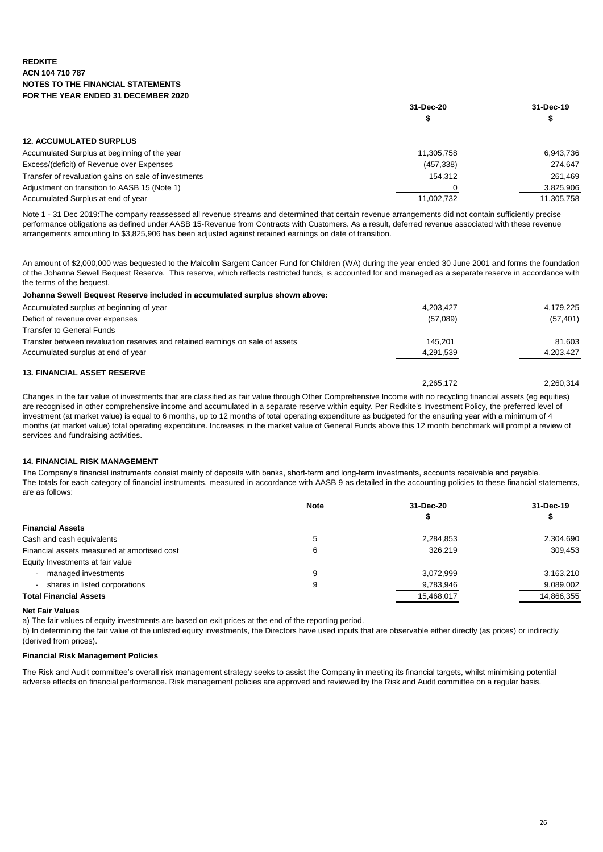|                                                      | 31-Dec-20  |            |
|------------------------------------------------------|------------|------------|
|                                                      |            |            |
| <b>12. ACCUMULATED SURPLUS</b>                       |            |            |
| Accumulated Surplus at beginning of the year         | 11.305.758 | 6,943,736  |
| Excess/(deficit) of Revenue over Expenses            | (457, 338) | 274.647    |
| Transfer of revaluation gains on sale of investments | 154.312    | 261,469    |
| Adjustment on transition to AASB 15 (Note 1)         |            | 3,825,906  |
| Accumulated Surplus at end of year                   | 11,002,732 | 11,305,758 |

Note 1 - 31 Dec 2019:The company reassessed all revenue streams and determined that certain revenue arrangements did not contain sufficiently precise performance obligations as defined under AASB 15-Revenue from Contracts with Customers. As a result, deferred revenue associated with these revenue arrangements amounting to \$3,825,906 has been adjusted against retained earnings on date of transition.

An amount of \$2,000,000 was bequested to the Malcolm Sargent Cancer Fund for Children (WA) during the year ended 30 June 2001 and forms the foundation of the Johanna Sewell Bequest Reserve. This reserve, which reflects restricted funds, is accounted for and managed as a separate reserve in accordance with the terms of the bequest.

| Johanna Sewell Bequest Reserve included in accumulated surplus shown above:   |           |           |
|-------------------------------------------------------------------------------|-----------|-----------|
| Accumulated surplus at beginning of year                                      | 4.203.427 | 4,179,225 |
| Deficit of revenue over expenses                                              | (57,089)  | (57, 401) |
| <b>Transfer to General Funds</b>                                              |           |           |
| Transfer between revaluation reserves and retained earnings on sale of assets | 145,201   | 81,603    |
| Accumulated surplus at end of year                                            | 4,291,539 | 4,203,427 |
| <b>13. FINANCIAL ASSET RESERVE</b>                                            |           |           |
|                                                                               | 2,265,172 | 2.260.314 |

Changes in the fair value of investments that are classified as fair value through Other Comprehensive Income with no recycling financial assets (eg equities) are recognised in other comprehensive income and accumulated in a separate reserve within equity. Per Redkite's Investment Policy, the preferred level of investment (at market value) is equal to 6 months, up to 12 months of total operating expenditure as budgeted for the ensuring year with a minimum of 4 months (at market value) total operating expenditure. Increases in the market value of General Funds above this 12 month benchmark will prompt a review of services and fundraising activities.

#### **14. FINANCIAL RISK MANAGEMENT**

The Company's financial instruments consist mainly of deposits with banks, short-term and long-term investments, accounts receivable and payable. The totals for each category of financial instruments, measured in accordance with AASB 9 as detailed in the accounting policies to these financial statements, are as follows:

|                                             | <b>Note</b> | 31-Dec-20  | 31-Dec-19  |  |
|---------------------------------------------|-------------|------------|------------|--|
|                                             |             |            |            |  |
| <b>Financial Assets</b>                     |             |            |            |  |
| Cash and cash equivalents                   |             | 2,284,853  | 2,304,690  |  |
| Financial assets measured at amortised cost | 6           | 326.219    | 309.453    |  |
| Equity Investments at fair value            |             |            |            |  |
| managed investments                         | 9           | 3,072,999  | 3,163,210  |  |
| shares in listed corporations               | 9           | 9,783,946  | 9,089,002  |  |
| <b>Total Financial Assets</b>               |             | 15,468,017 | 14,866,355 |  |

#### **Net Fair Values**

a) The fair values of equity investments are based on exit prices at the end of the reporting period.

b) In determining the fair value of the unlisted equity investments, the Directors have used inputs that are observable either directly (as prices) or indirectly (derived from prices).

#### **Financial Risk Management Policies**

The Risk and Audit committee's overall risk management strategy seeks to assist the Company in meeting its financial targets, whilst minimising potential adverse effects on financial performance. Risk management policies are approved and reviewed by the Risk and Audit committee on a regular basis.